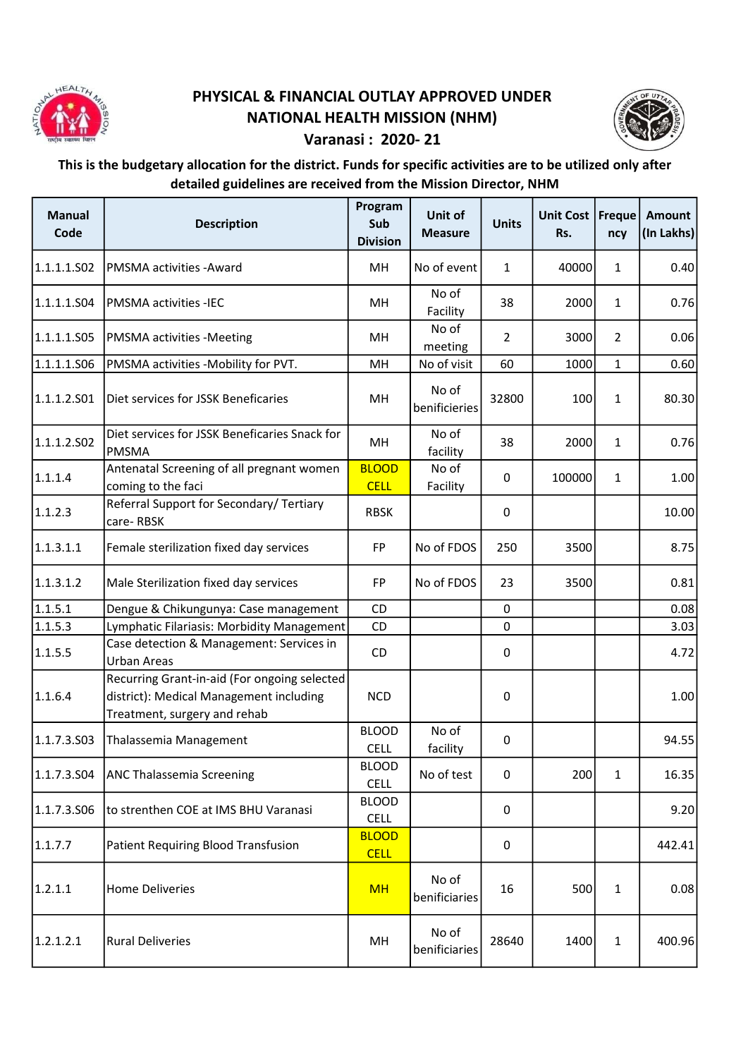

## PHYSICAL & FINANCIAL OUTLAY APPROVED UNDER NATIONAL HEALTH MISSION (NHM)



## Varanasi : 2020- 21

## This is the budgetary allocation for the district. Funds for specific activities are to be utilized only after detailed guidelines are received from the Mission Director, NHM

| <b>Manual</b><br>Code | <b>Description</b>                                                                                                      | Program<br>Sub<br><b>Division</b> | Unit of<br><b>Measure</b> | <b>Units</b>     | Unit Cost   Freque<br>Rs. | ncy            | Amount<br>(In Lakhs) |
|-----------------------|-------------------------------------------------------------------------------------------------------------------------|-----------------------------------|---------------------------|------------------|---------------------------|----------------|----------------------|
| 1.1.1.1.502           | PMSMA activities -Award                                                                                                 | MH                                | No of event               | $\mathbf 1$      | 40000                     | $\mathbf{1}$   | 0.40                 |
| 1.1.1.1.S04           | <b>PMSMA activities -IEC</b>                                                                                            | MH                                | No of<br>Facility         | 38               | 2000                      | $\mathbf{1}$   | 0.76                 |
| 1.1.1.1.S05           | <b>PMSMA activities -Meeting</b>                                                                                        | <b>MH</b>                         | No of<br>meeting          | $\overline{2}$   | 3000                      | $\overline{2}$ | 0.06                 |
| 1.1.1.1.506           | PMSMA activities -Mobility for PVT.                                                                                     | MH                                | No of visit               | 60               | 1000                      | $\mathbf{1}$   | 0.60                 |
| 1.1.1.2.501           | Diet services for JSSK Beneficaries                                                                                     | MH                                | No of<br>benificieries    | 32800            | 100                       | $\mathbf{1}$   | 80.30                |
| 1.1.1.2.502           | Diet services for JSSK Beneficaries Snack for<br><b>PMSMA</b>                                                           | MН                                | No of<br>facility         | 38               | 2000                      | $\mathbf{1}$   | 0.76                 |
| 1.1.1.4               | Antenatal Screening of all pregnant women<br>coming to the faci                                                         | <b>BLOOD</b><br><b>CELL</b>       | No of<br>Facility         | $\mathbf 0$      | 100000                    | $\mathbf{1}$   | 1.00                 |
| 1.1.2.3               | Referral Support for Secondary/ Tertiary<br>care-RBSK                                                                   | <b>RBSK</b>                       |                           | $\pmb{0}$        |                           |                | 10.00                |
| 1.1.3.1.1             | Female sterilization fixed day services                                                                                 | <b>FP</b>                         | No of FDOS                | 250              | 3500                      |                | 8.75                 |
| 1.1.3.1.2             | Male Sterilization fixed day services                                                                                   | FP                                | No of FDOS                | 23               | 3500                      |                | 0.81                 |
| 1.1.5.1               | Dengue & Chikungunya: Case management                                                                                   | CD                                |                           | $\mathbf 0$      |                           |                | 0.08                 |
| 1.1.5.3               | Lymphatic Filariasis: Morbidity Management                                                                              | CD                                |                           | $\pmb{0}$        |                           |                | 3.03                 |
| 1.1.5.5               | Case detection & Management: Services in<br>Urban Areas                                                                 | CD                                |                           | $\pmb{0}$        |                           |                | 4.72                 |
| 1.1.6.4               | Recurring Grant-in-aid (For ongoing selected<br>district): Medical Management including<br>Treatment, surgery and rehab | <b>NCD</b>                        |                           | $\boldsymbol{0}$ |                           |                | 1.00                 |
| 1.1.7.3.S03           | Thalassemia Management                                                                                                  | <b>BLOOD</b><br><b>CELL</b>       | No of<br>facility         | $\pmb{0}$        |                           |                | 94.55                |
| 1.1.7.3.504           | <b>ANC Thalassemia Screening</b>                                                                                        | <b>BLOOD</b><br><b>CELL</b>       | No of test                | 0                | 200                       | $\mathbf{1}$   | 16.35                |
| 1.1.7.3.506           | to strenthen COE at IMS BHU Varanasi                                                                                    | <b>BLOOD</b><br><b>CELL</b>       |                           | $\boldsymbol{0}$ |                           |                | 9.20                 |
| 1.1.7.7               | <b>Patient Requiring Blood Transfusion</b>                                                                              | <b>BLOOD</b><br><b>CELL</b>       |                           | 0                |                           |                | 442.41               |
| 1.2.1.1               | <b>Home Deliveries</b>                                                                                                  | <b>MH</b>                         | No of<br>benificiaries    | 16               | 500                       | $\mathbf{1}$   | 0.08                 |
| 1.2.1.2.1             | <b>Rural Deliveries</b>                                                                                                 | MH                                | No of<br>benificiaries    | 28640            | 1400                      | $\mathbf{1}$   | 400.96               |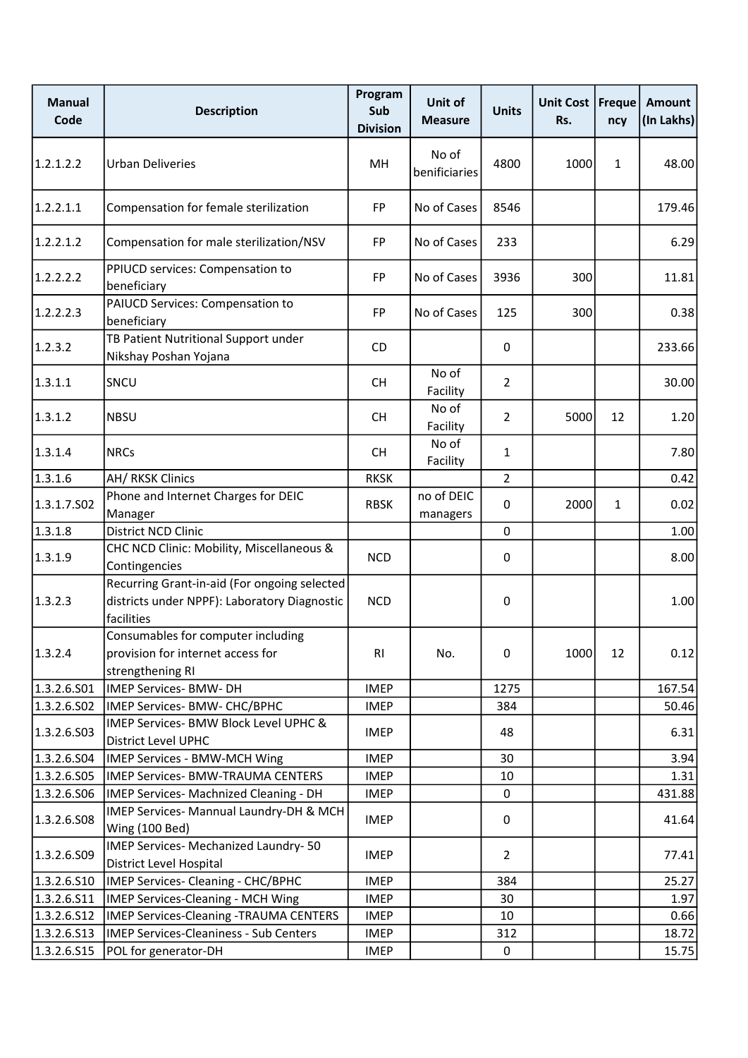| <b>Manual</b><br>Code | <b>Description</b>                                                                                         | Program<br>Sub<br><b>Division</b> | Unit of<br><b>Measure</b> | <b>Units</b>   | Unit Cost<br>Rs. | Freque<br>ncy | <b>Amount</b><br>(In Lakhs) |
|-----------------------|------------------------------------------------------------------------------------------------------------|-----------------------------------|---------------------------|----------------|------------------|---------------|-----------------------------|
| 1.2.1.2.2             | <b>Urban Deliveries</b>                                                                                    | MH                                | No of<br>benificiaries    | 4800           | 1000             | $\mathbf{1}$  | 48.00                       |
| 1.2.2.1.1             | Compensation for female sterilization                                                                      | <b>FP</b>                         | No of Cases               | 8546           |                  |               | 179.46                      |
| 1.2.2.1.2             | Compensation for male sterilization/NSV                                                                    | <b>FP</b>                         | No of Cases               | 233            |                  |               | 6.29                        |
| 1.2.2.2.2             | PPIUCD services: Compensation to<br>beneficiary                                                            | <b>FP</b>                         | No of Cases               | 3936           | 300              |               | 11.81                       |
| 1.2.2.2.3             | PAIUCD Services: Compensation to<br>beneficiary                                                            | <b>FP</b>                         | No of Cases               | 125            | 300              |               | 0.38                        |
| 1.2.3.2               | TB Patient Nutritional Support under<br>Nikshay Poshan Yojana                                              | <b>CD</b>                         |                           | 0              |                  |               | 233.66                      |
| 1.3.1.1               | SNCU                                                                                                       | <b>CH</b>                         | No of<br>Facility         | $\overline{2}$ |                  |               | 30.00                       |
| 1.3.1.2               | <b>NBSU</b>                                                                                                | <b>CH</b>                         | No of<br>Facility         | $\overline{2}$ | 5000             | 12            | 1.20                        |
| 1.3.1.4               | <b>NRCs</b>                                                                                                | CH.                               | No of<br>Facility         | $\mathbf{1}$   |                  |               | 7.80                        |
| 1.3.1.6               | AH/ RKSK Clinics                                                                                           | <b>RKSK</b>                       |                           | $\overline{2}$ |                  |               | 0.42                        |
| 1.3.1.7.502           | Phone and Internet Charges for DEIC<br>Manager                                                             | <b>RBSK</b>                       | no of DEIC<br>managers    | 0              | 2000             | $\mathbf{1}$  | 0.02                        |
| 1.3.1.8               | District NCD Clinic                                                                                        |                                   |                           | 0              |                  |               | 1.00                        |
| 1.3.1.9               | CHC NCD Clinic: Mobility, Miscellaneous &<br>Contingencies                                                 | <b>NCD</b>                        |                           | 0              |                  |               | 8.00                        |
| 1.3.2.3               | Recurring Grant-in-aid (For ongoing selected<br>districts under NPPF): Laboratory Diagnostic<br>facilities | <b>NCD</b>                        |                           | $\pmb{0}$      |                  |               | 1.00                        |
| 1.3.2.4               | Consumables for computer including<br>provision for internet access for<br>strengthening RI                | RI                                | No.                       | 0              | 1000             | 12            | 0.12                        |
| 1.3.2.6.S01           | <b>IMEP Services- BMW- DH</b>                                                                              | <b>IMEP</b>                       |                           | 1275           |                  |               | 167.54                      |
| 1.3.2.6.502           | IMEP Services- BMW- CHC/BPHC                                                                               | <b>IMEP</b>                       |                           | 384            |                  |               | 50.46                       |
| 1.3.2.6.503           | IMEP Services- BMW Block Level UPHC &<br><b>District Level UPHC</b>                                        | <b>IMEP</b>                       |                           | 48             |                  |               | 6.31                        |
| 1.3.2.6.504           | IMEP Services - BMW-MCH Wing                                                                               | <b>IMEP</b>                       |                           | 30             |                  |               | 3.94                        |
| 1.3.2.6.505           | IMEP Services- BMW-TRAUMA CENTERS                                                                          | <b>IMEP</b>                       |                           | 10             |                  |               | 1.31                        |
| 1.3.2.6.506           | IMEP Services- Machnized Cleaning - DH                                                                     | <b>IMEP</b>                       |                           | 0              |                  |               | 431.88                      |
| 1.3.2.6.508           | IMEP Services- Mannual Laundry-DH & MCH<br>Wing (100 Bed)                                                  | <b>IMEP</b>                       |                           | 0              |                  |               | 41.64                       |
| 1.3.2.6.509           | IMEP Services- Mechanized Laundry-50<br>District Level Hospital                                            | <b>IMEP</b>                       |                           | $\overline{2}$ |                  |               | 77.41                       |
| 1.3.2.6.510           | IMEP Services- Cleaning - CHC/BPHC                                                                         | <b>IMEP</b>                       |                           | 384            |                  |               | 25.27                       |
| 1.3.2.6.S11           | <b>IMEP Services-Cleaning - MCH Wing</b>                                                                   | <b>IMEP</b>                       |                           | 30             |                  |               | 1.97                        |
| 1.3.2.6.512           | <b>IMEP Services-Cleaning -TRAUMA CENTERS</b>                                                              | <b>IMEP</b>                       |                           | 10             |                  |               | 0.66                        |
| 1.3.2.6.513           | <b>IMEP Services-Cleaniness - Sub Centers</b>                                                              | <b>IMEP</b>                       |                           | 312            |                  |               | 18.72                       |
| 1.3.2.6.515           | POL for generator-DH                                                                                       | <b>IMEP</b>                       |                           | 0              |                  |               | 15.75                       |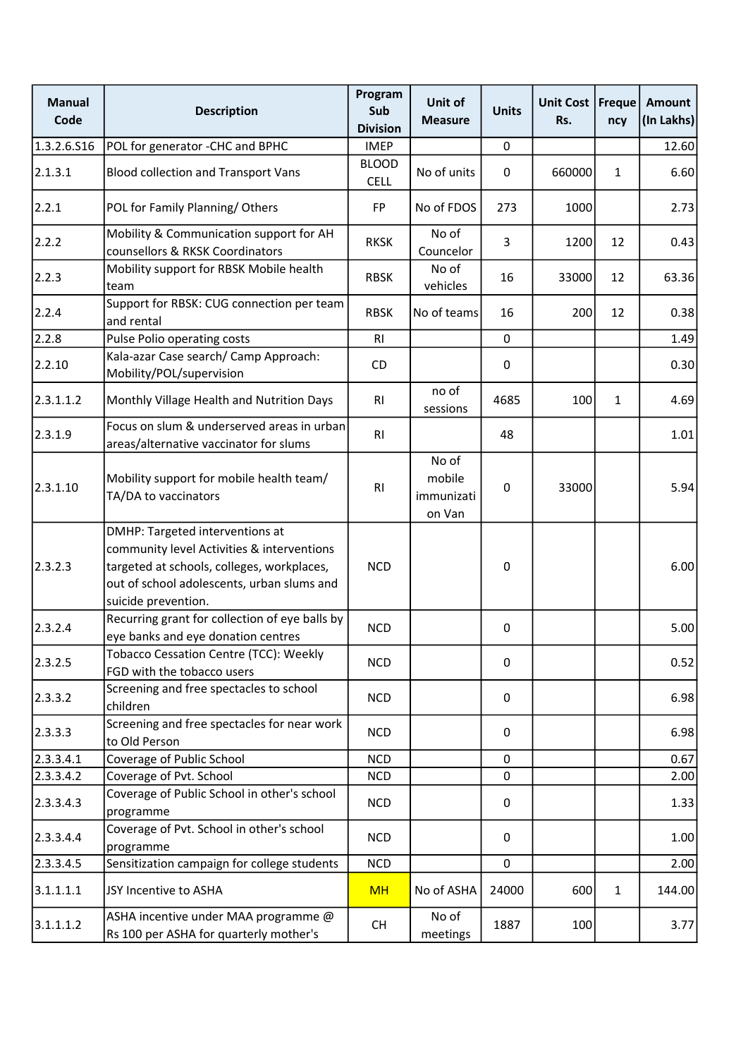| <b>Manual</b><br>Code | <b>Description</b>                                                                                                                                                                               | Program<br>Sub<br><b>Division</b> | Unit of<br><b>Measure</b>               | <b>Units</b> | Unit Cost   Freque<br>Rs. | ncy          | <b>Amount</b><br>(In Lakhs) |
|-----------------------|--------------------------------------------------------------------------------------------------------------------------------------------------------------------------------------------------|-----------------------------------|-----------------------------------------|--------------|---------------------------|--------------|-----------------------------|
| 1.3.2.6.516           | POL for generator -CHC and BPHC                                                                                                                                                                  | <b>IMEP</b>                       |                                         | $\pmb{0}$    |                           |              | 12.60                       |
| 2.1.3.1               | <b>Blood collection and Transport Vans</b>                                                                                                                                                       | <b>BLOOD</b><br><b>CELL</b>       | No of units                             | 0            | 660000                    | $\mathbf{1}$ | 6.60                        |
| 2.2.1                 | POL for Family Planning/Others                                                                                                                                                                   | <b>FP</b>                         | No of FDOS                              | 273          | 1000                      |              | 2.73                        |
| 2.2.2                 | Mobility & Communication support for AH<br>counsellors & RKSK Coordinators                                                                                                                       | <b>RKSK</b>                       | No of<br>Councelor                      | 3            | 1200                      | 12           | 0.43                        |
| 2.2.3                 | Mobility support for RBSK Mobile health<br>team                                                                                                                                                  | <b>RBSK</b>                       | No of<br>vehicles                       | 16           | 33000                     | 12           | 63.36                       |
| 2.2.4                 | Support for RBSK: CUG connection per team<br>and rental                                                                                                                                          | <b>RBSK</b>                       | No of teams                             | 16           | 200                       | 12           | 0.38                        |
| 2.2.8                 | Pulse Polio operating costs                                                                                                                                                                      | R <sub>l</sub>                    |                                         | $\mathbf 0$  |                           |              | 1.49                        |
| 2.2.10                | Kala-azar Case search/ Camp Approach:<br>Mobility/POL/supervision                                                                                                                                | CD                                |                                         | 0            |                           |              | 0.30                        |
| 2.3.1.1.2             | Monthly Village Health and Nutrition Days                                                                                                                                                        | R <sub>l</sub>                    | no of<br>sessions                       | 4685         | 100                       | $\mathbf{1}$ | 4.69                        |
| 2.3.1.9               | Focus on slum & underserved areas in urban<br>areas/alternative vaccinator for slums                                                                                                             | RI                                |                                         | 48           |                           |              | 1.01                        |
| 2.3.1.10              | Mobility support for mobile health team/<br>TA/DA to vaccinators                                                                                                                                 | RI                                | No of<br>mobile<br>immunizati<br>on Van | $\pmb{0}$    | 33000                     |              | 5.94                        |
| 2.3.2.3               | DMHP: Targeted interventions at<br>community level Activities & interventions<br>targeted at schools, colleges, workplaces,<br>out of school adolescents, urban slums and<br>suicide prevention. | <b>NCD</b>                        |                                         | $\mathbf 0$  |                           |              | 6.00                        |
| 2.3.2.4               | Recurring grant for collection of eye balls by<br>eye banks and eye donation centres                                                                                                             | <b>NCD</b>                        |                                         | 0            |                           |              | 5.00                        |
| 2.3.2.5               | Tobacco Cessation Centre (TCC): Weekly<br>FGD with the tobacco users                                                                                                                             | <b>NCD</b>                        |                                         | 0            |                           |              | 0.52                        |
| 2.3.3.2               | Screening and free spectacles to school<br>children                                                                                                                                              | <b>NCD</b>                        |                                         | 0            |                           |              | 6.98                        |
| 2.3.3.3               | Screening and free spectacles for near work<br>to Old Person                                                                                                                                     | <b>NCD</b>                        |                                         | 0            |                           |              | 6.98                        |
| 2.3.3.4.1             | Coverage of Public School                                                                                                                                                                        | <b>NCD</b>                        |                                         | $\mathbf 0$  |                           |              | 0.67                        |
| 2.3.3.4.2             | Coverage of Pvt. School                                                                                                                                                                          | <b>NCD</b>                        |                                         | 0            |                           |              | 2.00                        |
| 2.3.3.4.3             | Coverage of Public School in other's school<br>programme                                                                                                                                         | <b>NCD</b>                        |                                         | 0            |                           |              | 1.33                        |
| 2.3.3.4.4             | Coverage of Pvt. School in other's school<br>programme                                                                                                                                           | <b>NCD</b>                        |                                         | 0            |                           |              | 1.00                        |
| 2.3.3.4.5             | Sensitization campaign for college students                                                                                                                                                      | <b>NCD</b>                        |                                         | $\mathbf 0$  |                           |              | 2.00                        |
| 3.1.1.1.1             | JSY Incentive to ASHA                                                                                                                                                                            | <b>MH</b>                         | No of ASHA                              | 24000        | 600                       | $\mathbf{1}$ | 144.00                      |
| 3.1.1.1.2             | ASHA incentive under MAA programme @<br>Rs 100 per ASHA for quarterly mother's                                                                                                                   | CH                                | No of<br>meetings                       | 1887         | 100                       |              | 3.77                        |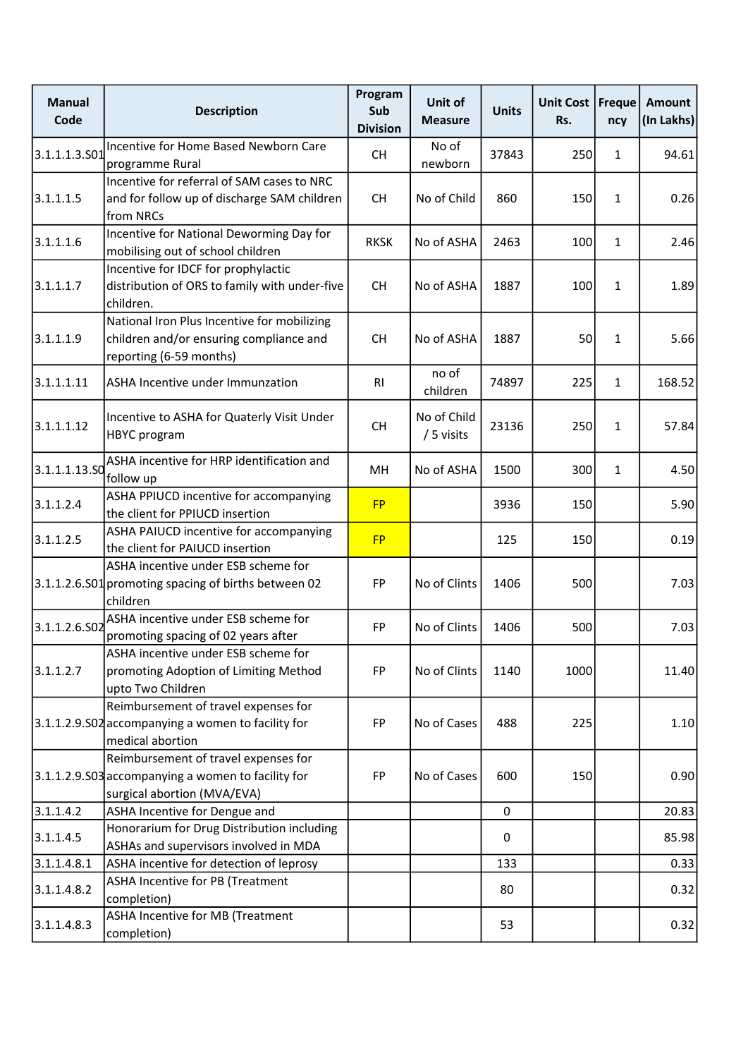| <b>Manual</b><br>Code | <b>Description</b>                                                                                                        | Program<br>Sub<br><b>Division</b> | Unit of<br><b>Measure</b> | <b>Units</b> | Unit Cost   Freque<br>Rs. | ncy          | <b>Amount</b><br>(In Lakhs) |
|-----------------------|---------------------------------------------------------------------------------------------------------------------------|-----------------------------------|---------------------------|--------------|---------------------------|--------------|-----------------------------|
| 3.1.1.1.3.501         | Incentive for Home Based Newborn Care<br>programme Rural                                                                  | <b>CH</b>                         | No of<br>newborn          | 37843        | 250                       | $\mathbf{1}$ | 94.61                       |
| 3.1.1.1.5             | Incentive for referral of SAM cases to NRC<br>and for follow up of discharge SAM children<br>from NRCs                    | <b>CH</b>                         | No of Child               | 860          | 150                       | $\mathbf{1}$ | 0.26                        |
| 3.1.1.1.6             | Incentive for National Deworming Day for<br>mobilising out of school children                                             | <b>RKSK</b>                       | No of ASHA                | 2463         | 100                       | $\mathbf{1}$ | 2.46                        |
| 3.1.1.1.7             | Incentive for IDCF for prophylactic<br>distribution of ORS to family with under-five<br>children.                         | <b>CH</b>                         | No of ASHA                | 1887         | 100                       | $\mathbf{1}$ | 1.89                        |
| 3.1.1.1.9             | National Iron Plus Incentive for mobilizing<br>children and/or ensuring compliance and<br>reporting (6-59 months)         | <b>CH</b>                         | No of ASHA                | 1887         | 50                        | $\mathbf{1}$ | 5.66                        |
| 3.1.1.1.11            | ASHA Incentive under Immunzation                                                                                          | R <sub>l</sub>                    | no of<br>children         | 74897        | 225                       | $\mathbf{1}$ | 168.52                      |
| 3.1.1.1.12            | Incentive to ASHA for Quaterly Visit Under<br><b>HBYC</b> program                                                         | CH                                | No of Child<br>/ 5 visits | 23136        | 250                       | $\mathbf{1}$ | 57.84                       |
| 3.1.1.1.13.50         | ASHA incentive for HRP identification and<br>follow up                                                                    | MH                                | No of ASHA                | 1500         | 300                       | $\mathbf{1}$ | 4.50                        |
| 3.1.1.2.4             | ASHA PPIUCD incentive for accompanying<br>the client for PPIUCD insertion                                                 | <b>FP</b>                         |                           | 3936         | 150                       |              | 5.90                        |
| 3.1.1.2.5             | ASHA PAIUCD incentive for accompanying<br>the client for PAIUCD insertion                                                 | <b>FP</b>                         |                           | 125          | 150                       |              | 0.19                        |
|                       | ASHA incentive under ESB scheme for<br>3.1.1.2.6.S01 promoting spacing of births between 02<br>children                   | <b>FP</b>                         | No of Clints              | 1406         | 500                       |              | 7.03                        |
| 3.1.1.2.6.S02         | ASHA incentive under ESB scheme for<br>promoting spacing of 02 years after                                                | <b>FP</b>                         | No of Clints              | 1406         | 500                       |              | 7.03                        |
| 3.1.1.2.7             | ASHA incentive under ESB scheme for<br>promoting Adoption of Limiting Method<br>upto Two Children                         | FP                                | No of Clints              | 1140         | 1000                      |              | 11.40                       |
|                       | Reimbursement of travel expenses for<br>3.1.1.2.9.S02 accompanying a women to facility for<br>medical abortion            | FP                                | No of Cases               | 488          | 225                       |              | 1.10                        |
|                       | Reimbursement of travel expenses for<br>3.1.1.2.9.S03 accompanying a women to facility for<br>surgical abortion (MVA/EVA) | FP                                | No of Cases               | 600          | 150                       |              | 0.90                        |
| 3.1.1.4.2             | ASHA Incentive for Dengue and                                                                                             |                                   |                           | $\mathbf 0$  |                           |              | 20.83                       |
| 3.1.1.4.5             | Honorarium for Drug Distribution including<br>ASHAs and supervisors involved in MDA                                       |                                   |                           | 0            |                           |              | 85.98                       |
| 3.1.1.4.8.1           | ASHA incentive for detection of leprosy                                                                                   |                                   |                           | 133          |                           |              | 0.33                        |
| 3.1.1.4.8.2           | ASHA Incentive for PB (Treatment<br>completion)                                                                           |                                   |                           | 80           |                           |              | 0.32                        |
| 3.1.1.4.8.3           | ASHA Incentive for MB (Treatment<br>completion)                                                                           |                                   |                           | 53           |                           |              | 0.32                        |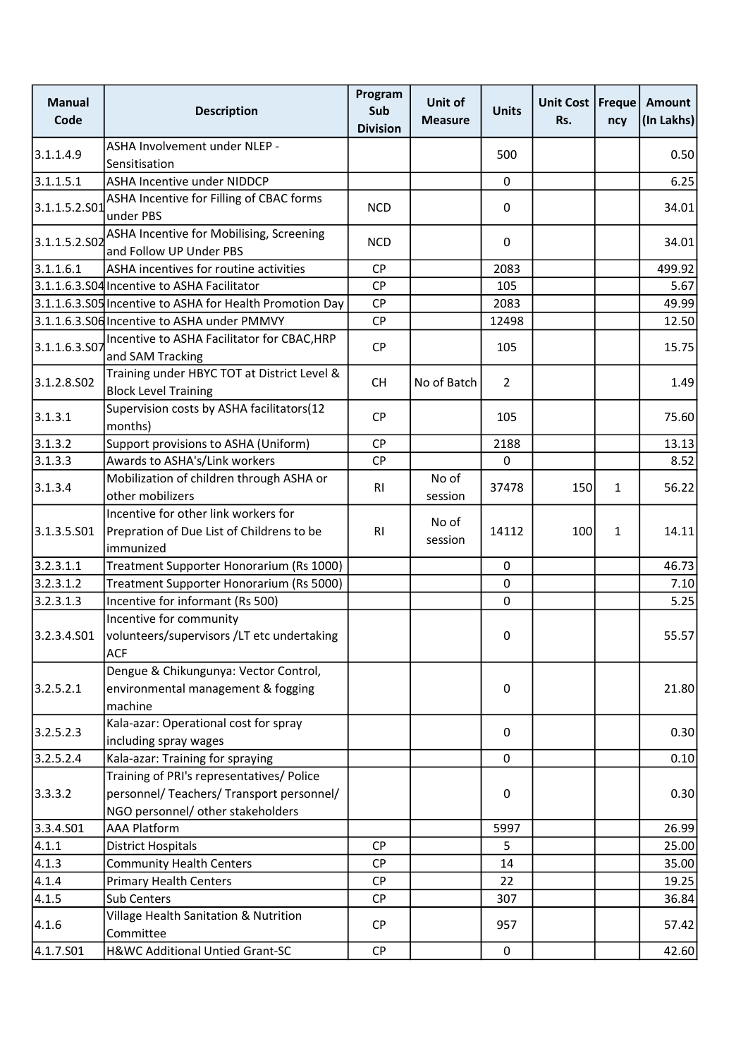| <b>Manual</b><br>Code | <b>Description</b>                                                                                                          | Program<br>Sub<br><b>Division</b> | Unit of<br><b>Measure</b> | <b>Units</b>   | Unit Cost   Freque  <br>Rs. | ncy | Amount<br>(In Lakhs) |
|-----------------------|-----------------------------------------------------------------------------------------------------------------------------|-----------------------------------|---------------------------|----------------|-----------------------------|-----|----------------------|
| 3.1.1.4.9             | ASHA Involvement under NLEP -                                                                                               |                                   |                           | 500            |                             |     | 0.50                 |
|                       | Sensitisation                                                                                                               |                                   |                           |                |                             |     |                      |
| 3.1.1.5.1             | ASHA Incentive under NIDDCP                                                                                                 |                                   |                           | $\mathbf 0$    |                             |     | 6.25                 |
| 3.1.1.5.2.501         | ASHA Incentive for Filling of CBAC forms<br>under PBS                                                                       | <b>NCD</b>                        |                           | 0              |                             |     | 34.01                |
| 3.1.1.5.2.502         | ASHA Incentive for Mobilising, Screening<br>and Follow UP Under PBS                                                         | <b>NCD</b>                        |                           | 0              |                             |     | 34.01                |
| 3.1.1.6.1             | ASHA incentives for routine activities                                                                                      | <b>CP</b>                         |                           | 2083           |                             |     | 499.92               |
|                       | 3.1.1.6.3.S04 Incentive to ASHA Facilitator                                                                                 | <b>CP</b>                         |                           | 105            |                             |     | 5.67                 |
|                       | 3.1.1.6.3.S05 Incentive to ASHA for Health Promotion Day                                                                    | <b>CP</b>                         |                           | 2083           |                             |     | 49.99                |
|                       | 3.1.1.6.3.S06 Incentive to ASHA under PMMVY                                                                                 | CP                                |                           | 12498          |                             |     | 12.50                |
| 3.1.1.6.3.S07         | Incentive to ASHA Facilitator for CBAC, HRP<br>and SAM Tracking                                                             | <b>CP</b>                         |                           | 105            |                             |     | 15.75                |
| 3.1.2.8.502           | Training under HBYC TOT at District Level &<br><b>Block Level Training</b>                                                  | <b>CH</b>                         | No of Batch               | $\overline{2}$ |                             |     | 1.49                 |
| 3.1.3.1               | Supervision costs by ASHA facilitators(12<br>months)                                                                        | <b>CP</b>                         |                           | 105            |                             |     | 75.60                |
| 3.1.3.2               | Support provisions to ASHA (Uniform)                                                                                        | <b>CP</b>                         |                           | 2188           |                             |     | 13.13                |
| 3.1.3.3               | Awards to ASHA's/Link workers                                                                                               | CP                                |                           | 0              |                             |     | 8.52                 |
| 3.1.3.4               | Mobilization of children through ASHA or<br>other mobilizers                                                                | R <sub>l</sub>                    | No of<br>session          | 37478          | 150                         | 1   | 56.22                |
| 3.1.3.5.501           | Incentive for other link workers for<br>Prepration of Due List of Childrens to be<br>immunized                              | <b>RI</b>                         | No of<br>session          | 14112          | 100                         | 1   | 14.11                |
| 3.2.3.1.1             | Treatment Supporter Honorarium (Rs 1000)                                                                                    |                                   |                           | 0              |                             |     | 46.73                |
| 3.2.3.1.2             | Treatment Supporter Honorarium (Rs 5000)                                                                                    |                                   |                           | 0              |                             |     | 7.10                 |
| 3.2.3.1.3             | Incentive for informant (Rs 500)                                                                                            |                                   |                           | 0              |                             |     | 5.25                 |
| 3.2.3.4.SO1           | Incentive for community<br>volunteers/supervisors /LT etc undertaking<br><b>ACF</b>                                         |                                   |                           | 0              |                             |     | 55.57                |
| 3.2.5.2.1             | Dengue & Chikungunya: Vector Control,<br>environmental management & fogging<br>machine                                      |                                   |                           | 0              |                             |     | 21.80                |
| 3.2.5.2.3             | Kala-azar: Operational cost for spray<br>including spray wages                                                              |                                   |                           | 0              |                             |     | 0.30                 |
| 3.2.5.2.4             | Kala-azar: Training for spraying                                                                                            |                                   |                           | $\mathbf 0$    |                             |     | 0.10                 |
| 3.3.3.2               | Training of PRI's representatives/ Police<br>personnel/ Teachers/ Transport personnel/<br>NGO personnel/ other stakeholders |                                   |                           | 0              |                             |     | 0.30                 |
| 3.3.4.501             | <b>AAA Platform</b>                                                                                                         |                                   |                           | 5997           |                             |     | 26.99                |
| 4.1.1                 | <b>District Hospitals</b>                                                                                                   | <b>CP</b>                         |                           | 5              |                             |     | 25.00                |
| 4.1.3                 | <b>Community Health Centers</b>                                                                                             | <b>CP</b>                         |                           | 14             |                             |     | 35.00                |
| 4.1.4                 | <b>Primary Health Centers</b>                                                                                               | <b>CP</b>                         |                           | 22             |                             |     | 19.25                |
| 4.1.5                 | Sub Centers                                                                                                                 | <b>CP</b>                         |                           | 307            |                             |     | 36.84                |
| 4.1.6                 | Village Health Sanitation & Nutrition<br>Committee                                                                          | <b>CP</b>                         |                           | 957            |                             |     | 57.42                |
| 4.1.7.S01             | H&WC Additional Untied Grant-SC                                                                                             | <b>CP</b>                         |                           | 0              |                             |     | 42.60                |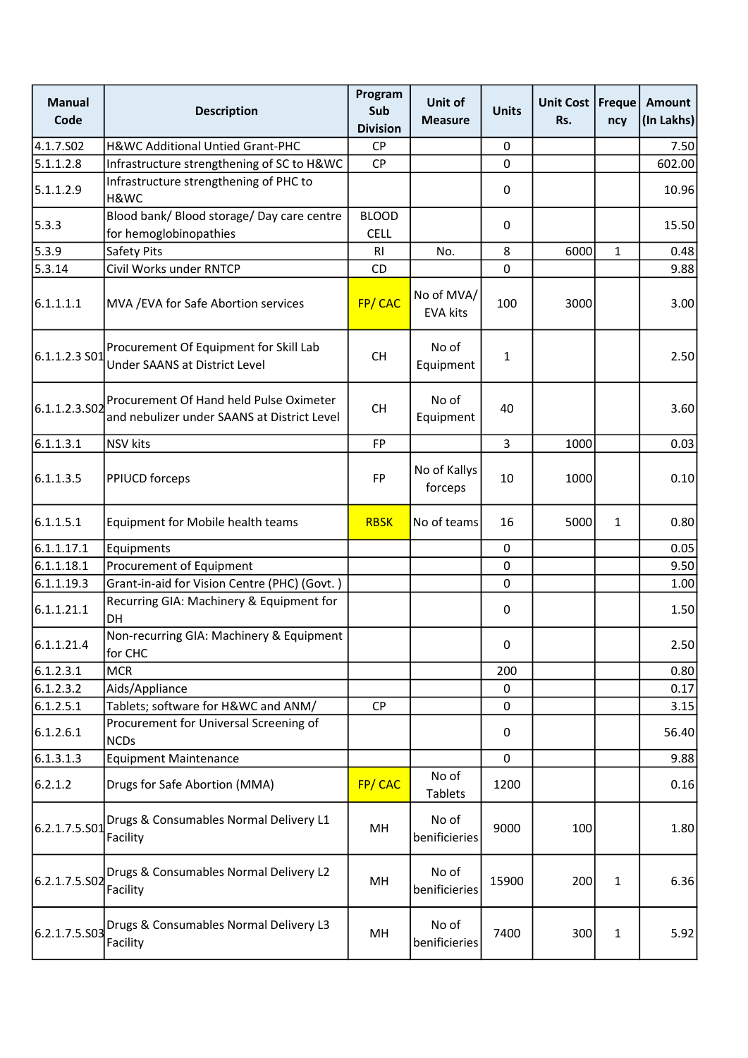| <b>Manual</b><br>Code | <b>Description</b>                                                                     | Program<br>Sub<br><b>Division</b> | Unit of<br><b>Measure</b>     | <b>Units</b>   | <b>Unit Cost</b><br>Rs. | Freque<br>ncy | <b>Amount</b><br>(In Lakhs) |
|-----------------------|----------------------------------------------------------------------------------------|-----------------------------------|-------------------------------|----------------|-------------------------|---------------|-----------------------------|
| 4.1.7.502             | <b>H&amp;WC Additional Untied Grant-PHC</b>                                            | <b>CP</b>                         |                               | 0              |                         |               | 7.50                        |
| 5.1.1.2.8             | Infrastructure strengthening of SC to H&WC                                             | <b>CP</b>                         |                               | 0              |                         |               | 602.00                      |
| 5.1.1.2.9             | Infrastructure strengthening of PHC to<br>H&WC                                         |                                   |                               | 0              |                         |               | 10.96                       |
| 5.3.3                 | Blood bank/ Blood storage/ Day care centre<br>for hemoglobinopathies                   | <b>BLOOD</b><br><b>CELL</b>       |                               | 0              |                         |               | 15.50                       |
| 5.3.9                 | Safety Pits                                                                            | RI                                | No.                           | 8              | 6000                    | 1             | 0.48                        |
| 5.3.14                | Civil Works under RNTCP                                                                | CD                                |                               | 0              |                         |               | 9.88                        |
| 6.1.1.1.1             | MVA / EVA for Safe Abortion services                                                   | FP/CAC                            | No of MVA/<br><b>EVA kits</b> | 100            | 3000                    |               | 3.00                        |
| 6.1.1.2.3 S01         | Procurement Of Equipment for Skill Lab<br>Under SAANS at District Level                | <b>CH</b>                         | No of<br>Equipment            | 1              |                         |               | 2.50                        |
| 6.1.1.2.3.S02         | Procurement Of Hand held Pulse Oximeter<br>and nebulizer under SAANS at District Level | <b>CH</b>                         | No of<br>Equipment            | 40             |                         |               | 3.60                        |
| 6.1.1.3.1             | NSV kits                                                                               | <b>FP</b>                         |                               | $\overline{3}$ | 1000                    |               | 0.03                        |
| 6.1.1.3.5             | <b>PPIUCD forceps</b>                                                                  | FP                                | No of Kallys<br>forceps       | 10             | 1000                    |               | 0.10                        |
| 6.1.1.5.1             | Equipment for Mobile health teams                                                      | <b>RBSK</b>                       | No of teams                   | 16             | 5000                    | $\mathbf{1}$  | 0.80                        |
| 6.1.1.17.1            | Equipments                                                                             |                                   |                               | 0              |                         |               | 0.05                        |
| 6.1.1.18.1            | Procurement of Equipment                                                               |                                   |                               | 0              |                         |               | 9.50                        |
| 6.1.1.19.3            | Grant-in-aid for Vision Centre (PHC) (Govt.)                                           |                                   |                               | 0              |                         |               | 1.00                        |
| 6.1.1.21.1            | Recurring GIA: Machinery & Equipment for<br><b>DH</b>                                  |                                   |                               | 0              |                         |               | 1.50                        |
| 6.1.1.21.4            | Non-recurring GIA: Machinery & Equipment<br>for CHC                                    |                                   |                               | 0              |                         |               | 2.50                        |
| 6.1.2.3.1             | <b>MCR</b>                                                                             |                                   |                               | 200            |                         |               | 0.80                        |
| 6.1.2.3.2             | Aids/Appliance                                                                         |                                   |                               | 0              |                         |               | 0.17                        |
| 6.1.2.5.1             | Tablets; software for H&WC and ANM/                                                    | <b>CP</b>                         |                               | 0              |                         |               | 3.15                        |
| 6.1.2.6.1             | Procurement for Universal Screening of<br><b>NCDs</b>                                  |                                   |                               | 0              |                         |               | 56.40                       |
| 6.1.3.1.3             | <b>Equipment Maintenance</b>                                                           |                                   |                               | 0              |                         |               | 9.88                        |
| 6.2.1.2               | Drugs for Safe Abortion (MMA)                                                          | FP/CAC                            | No of<br>Tablets              | 1200           |                         |               | 0.16                        |
| 6.2.1.7.5.501         | Drugs & Consumables Normal Delivery L1<br>Facility                                     | MH                                | No of<br>benificieries        | 9000           | 100                     |               | 1.80                        |
| 6.2.1.7.5.S02         | Drugs & Consumables Normal Delivery L2<br>Facility                                     | MH                                | No of<br>benificieries        | 15900          | 200                     | $\mathbf{1}$  | 6.36                        |
| 6.2.1.7.5.503         | Drugs & Consumables Normal Delivery L3<br>Facility                                     | MH                                | No of<br>benificieries        | 7400           | 300                     | $\mathbf{1}$  | 5.92                        |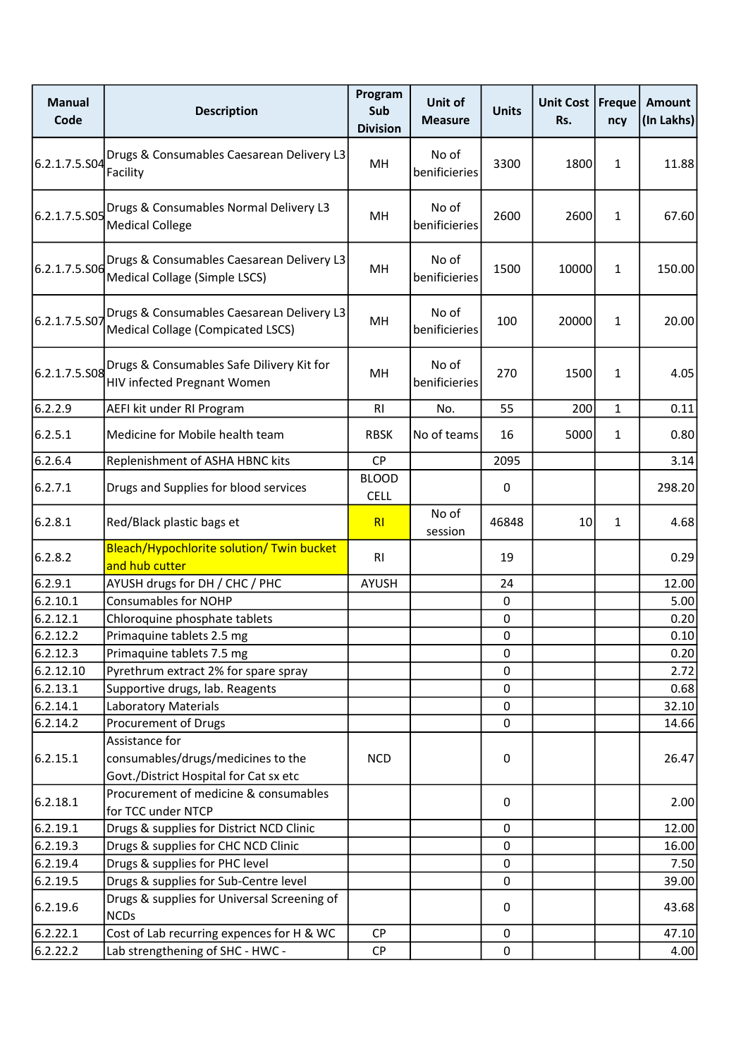| <b>Manual</b><br>Code | <b>Description</b>                                                             | Program<br>Sub<br><b>Division</b> | Unit of<br><b>Measure</b> | <b>Units</b>     | Unit Cost<br>Rs. | Freque<br>ncy | <b>Amount</b><br>(In Lakhs) |
|-----------------------|--------------------------------------------------------------------------------|-----------------------------------|---------------------------|------------------|------------------|---------------|-----------------------------|
| 6.2.1.7.5.S04         | Drugs & Consumables Caesarean Delivery L3<br>Facility                          | MH                                | No of<br>benificieries    | 3300             | 1800             | $\mathbf{1}$  | 11.88                       |
| 6.2.1.7.5.S05         | Drugs & Consumables Normal Delivery L3<br><b>Medical College</b>               | MH                                | No of<br>benificieries    | 2600             | 2600             | $\mathbf{1}$  | 67.60                       |
| 6.2.1.7.5.S06         | Drugs & Consumables Caesarean Delivery L3<br>Medical Collage (Simple LSCS)     | MH                                | No of<br>benificieries    | 1500             | 10000            | $\mathbf{1}$  | 150.00                      |
| 6.2.1.7.5.S07         | Drugs & Consumables Caesarean Delivery L3<br>Medical Collage (Compicated LSCS) | MH                                | No of<br>benificieries    | 100              | 20000            | $\mathbf{1}$  | 20.00                       |
| 6.2.1.7.5.S08         | Drugs & Consumables Safe Dilivery Kit for<br>HIV infected Pregnant Women       | MH                                | No of<br>benificieries    | 270              | 1500             | $\mathbf{1}$  | 4.05                        |
| 6.2.2.9               | AEFI kit under RI Program                                                      | R <sub>1</sub>                    | No.                       | 55               | 200              | 1             | 0.11                        |
| 6.2.5.1               | Medicine for Mobile health team                                                | <b>RBSK</b>                       | No of teams               | 16               | 5000             | $\mathbf{1}$  | 0.80                        |
| 6.2.6.4               | Replenishment of ASHA HBNC kits                                                | <b>CP</b>                         |                           | 2095             |                  |               | 3.14                        |
| 6.2.7.1               | Drugs and Supplies for blood services                                          | <b>BLOOD</b><br><b>CELL</b>       |                           | 0                |                  |               | 298.20                      |
| 6.2.8.1               | Red/Black plastic bags et                                                      | R <sub>l</sub>                    | No of<br>session          | 46848            | 10               | 1             | 4.68                        |
| 6.2.8.2               | Bleach/Hypochlorite solution/ Twin bucket<br>and hub cutter                    | R <sub>l</sub>                    |                           | 19               |                  |               | 0.29                        |
| 6.2.9.1               | AYUSH drugs for DH / CHC / PHC                                                 | <b>AYUSH</b>                      |                           | 24               |                  |               | 12.00                       |
| 6.2.10.1              | <b>Consumables for NOHP</b>                                                    |                                   |                           | 0                |                  |               | 5.00                        |
| 6.2.12.1              | Chloroquine phosphate tablets                                                  |                                   |                           | $\pmb{0}$        |                  |               | 0.20                        |
| 6.2.12.2              | Primaquine tablets 2.5 mg                                                      |                                   |                           | $\pmb{0}$        |                  |               | 0.10                        |
| 6.2.12.3              | Primaquine tablets 7.5 mg                                                      |                                   |                           | 0                |                  |               | 0.20                        |
| 6.2.12.10             | Pyrethrum extract 2% for spare spray                                           |                                   |                           | $\mathbf 0$      |                  |               | 2.72                        |
| 6.2.13.1              | Supportive drugs, lab. Reagents                                                |                                   |                           | 0                |                  |               | 0.68                        |
| 6.2.14.1              | <b>Laboratory Materials</b>                                                    |                                   |                           | 0                |                  |               | 32.10                       |
| 6.2.14.2              | Procurement of Drugs                                                           |                                   |                           | 0                |                  |               | 14.66                       |
|                       | Assistance for                                                                 |                                   |                           |                  |                  |               |                             |
| 6.2.15.1              | consumables/drugs/medicines to the                                             | <b>NCD</b>                        |                           | 0                |                  |               | 26.47                       |
|                       | Govt./District Hospital for Cat sx etc                                         |                                   |                           |                  |                  |               |                             |
| 6.2.18.1              | Procurement of medicine & consumables                                          |                                   |                           | $\pmb{0}$        |                  |               | 2.00                        |
|                       | for TCC under NTCP                                                             |                                   |                           |                  |                  |               |                             |
| 6.2.19.1              | Drugs & supplies for District NCD Clinic                                       |                                   |                           | 0                |                  |               | 12.00                       |
| 6.2.19.3<br>6.2.19.4  | Drugs & supplies for CHC NCD Clinic<br>Drugs & supplies for PHC level          |                                   |                           | 0<br>$\mathbf 0$ |                  |               | 16.00<br>7.50               |
| 6.2.19.5              | Drugs & supplies for Sub-Centre level                                          |                                   |                           | 0                |                  |               | 39.00                       |
|                       | Drugs & supplies for Universal Screening of                                    |                                   |                           |                  |                  |               |                             |
| 6.2.19.6              | <b>NCDs</b>                                                                    |                                   |                           | 0                |                  |               | 43.68                       |
| 6.2.22.1              | Cost of Lab recurring expences for H & WC                                      | <b>CP</b>                         |                           | 0                |                  |               | 47.10                       |
| 6.2.22.2              | Lab strengthening of SHC - HWC -                                               | <b>CP</b>                         |                           | $\pmb{0}$        |                  |               | 4.00                        |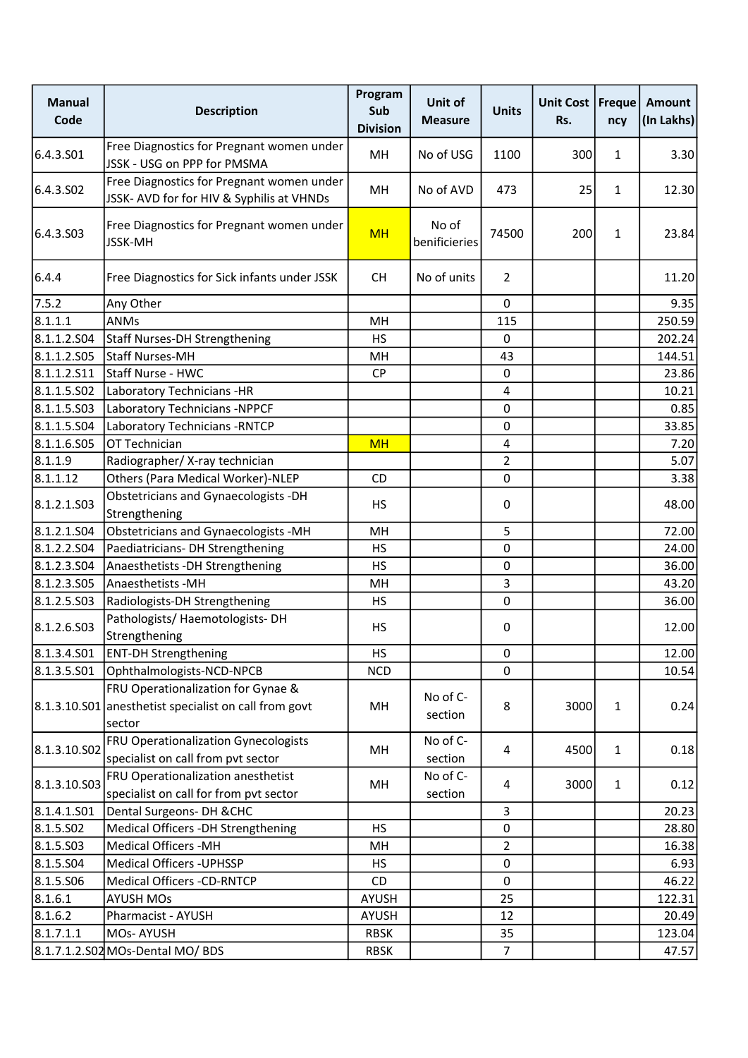| <b>Manual</b><br>Code | <b>Description</b>                                                                     | Program<br>Sub<br><b>Division</b> | Unit of<br><b>Measure</b> | <b>Units</b>   | Unit Cost   Freque<br>Rs. | ncy          | <b>Amount</b><br>(In Lakhs) |
|-----------------------|----------------------------------------------------------------------------------------|-----------------------------------|---------------------------|----------------|---------------------------|--------------|-----------------------------|
| 6.4.3.S01             | Free Diagnostics for Pregnant women under<br>JSSK - USG on PPP for PMSMA               | MH                                | No of USG                 | 1100           | 300                       | $\mathbf{1}$ | 3.30                        |
| 6.4.3.S02             | Free Diagnostics for Pregnant women under<br>JSSK- AVD for for HIV & Syphilis at VHNDs | MH                                | No of AVD                 | 473            | 25                        | $\mathbf{1}$ | 12.30                       |
| 6.4.3.S03             | Free Diagnostics for Pregnant women under<br><b>JSSK-MH</b>                            | <b>MH</b>                         | No of<br>benificieries    | 74500          | 200                       | 1            | 23.84                       |
| 6.4.4                 | Free Diagnostics for Sick infants under JSSK                                           | <b>CH</b>                         | No of units               | $\overline{2}$ |                           |              | 11.20                       |
| 7.5.2                 | Any Other                                                                              |                                   |                           | 0              |                           |              | 9.35                        |
| 8.1.1.1               | ANMs                                                                                   | MH                                |                           | 115            |                           |              | 250.59                      |
| 8.1.1.2.S04           | Staff Nurses-DH Strengthening                                                          | <b>HS</b>                         |                           | $\mathbf 0$    |                           |              | 202.24                      |
| 8.1.1.2.505           | <b>Staff Nurses-MH</b>                                                                 | MН                                |                           | 43             |                           |              | 144.51                      |
| 8.1.1.2.511           | Staff Nurse - HWC                                                                      | <b>CP</b>                         |                           | $\mathbf 0$    |                           |              | 23.86                       |
| 8.1.1.5.502           | Laboratory Technicians -HR                                                             |                                   |                           | 4              |                           |              | 10.21                       |
| 8.1.1.5.503           | Laboratory Technicians -NPPCF                                                          |                                   |                           | 0              |                           |              | 0.85                        |
| 8.1.1.5.504           | Laboratory Technicians - RNTCP                                                         |                                   |                           | $\mathbf 0$    |                           |              | 33.85                       |
| 8.1.1.6.S05           | OT Technician                                                                          | <b>MH</b>                         |                           | $\overline{4}$ |                           |              | 7.20                        |
| 8.1.1.9               | Radiographer/ X-ray technician                                                         |                                   |                           | $\overline{2}$ |                           |              | 5.07                        |
| 8.1.1.12              | Others (Para Medical Worker)-NLEP                                                      | CD                                |                           | $\mathbf 0$    |                           |              | 3.38                        |
| 8.1.2.1.503           | Obstetricians and Gynaecologists -DH<br>Strengthening                                  | <b>HS</b>                         |                           | 0              |                           |              | 48.00                       |
| 8.1.2.1.504           | Obstetricians and Gynaecologists -MH                                                   | MH                                |                           | 5              |                           |              | 72.00                       |
| 8.1.2.2.504           | Paediatricians- DH Strengthening                                                       | <b>HS</b>                         |                           | $\mathbf 0$    |                           |              | 24.00                       |
| 8.1.2.3.504           | Anaesthetists - DH Strengthening                                                       | <b>HS</b>                         |                           | $\pmb{0}$      |                           |              | 36.00                       |
| 8.1.2.3.505           | Anaesthetists - MH                                                                     | MH                                |                           | 3              |                           |              | 43.20                       |
| 8.1.2.5.503           | Radiologists-DH Strengthening                                                          | <b>HS</b>                         |                           | $\mathbf 0$    |                           |              | 36.00                       |
| 8.1.2.6.S03           | Pathologists/ Haemotologists-DH<br>Strengthening                                       | <b>HS</b>                         |                           | 0              |                           |              | 12.00                       |
| 8.1.3.4.S01           | <b>ENT-DH Strengthening</b>                                                            | <b>HS</b>                         |                           | $\pmb{0}$      |                           |              | 12.00                       |
| 8.1.3.5.501           | Ophthalmologists-NCD-NPCB                                                              | <b>NCD</b>                        |                           | 0              |                           |              | 10.54                       |
|                       | FRU Operationalization for Gynae &                                                     |                                   |                           |                |                           |              |                             |
|                       | 8.1.3.10.S01 anesthetist specialist on call from govt<br>sector                        | MH                                | No of C-<br>section       | 8              | 3000                      | $\mathbf{1}$ | 0.24                        |
| 8.1.3.10.S02          | <b>FRU Operationalization Gynecologists</b><br>specialist on call from pvt sector      | MH                                | No of C-<br>section       | $\overline{4}$ | 4500                      | $\mathbf{1}$ | 0.18                        |
| 8.1.3.10.S03          | FRU Operationalization anesthetist<br>specialist on call for from pvt sector           | MH                                | No of C-<br>section       | 4              | 3000                      | $\mathbf{1}$ | 0.12                        |
| 8.1.4.1.S01           | Dental Surgeons- DH & CHC                                                              |                                   |                           | 3              |                           |              | 20.23                       |
| 8.1.5.502             | Medical Officers -DH Strengthening                                                     | <b>HS</b>                         |                           | $\mathbf 0$    |                           |              | 28.80                       |
| 8.1.5.503             | <b>Medical Officers -MH</b>                                                            | MН                                |                           | 2              |                           |              | 16.38                       |
| 8.1.5.S04             | Medical Officers - UPHSSP                                                              | <b>HS</b>                         |                           | $\mathbf 0$    |                           |              | 6.93                        |
| 8.1.5.506             | Medical Officers -CD-RNTCP                                                             | CD                                |                           | $\mathbf 0$    |                           |              | 46.22                       |
| 8.1.6.1               | <b>AYUSH MOs</b>                                                                       | AYUSH                             |                           | 25             |                           |              | 122.31                      |
| 8.1.6.2               | Pharmacist - AYUSH                                                                     | AYUSH                             |                           | 12             |                           |              | 20.49                       |
| 8.1.7.1.1             | <b>MOs-AYUSH</b>                                                                       | <b>RBSK</b>                       |                           | 35             |                           |              | 123.04                      |
|                       | 8.1.7.1.2.S02 MOs-Dental MO/ BDS                                                       | <b>RBSK</b>                       |                           | $\overline{7}$ |                           |              | 47.57                       |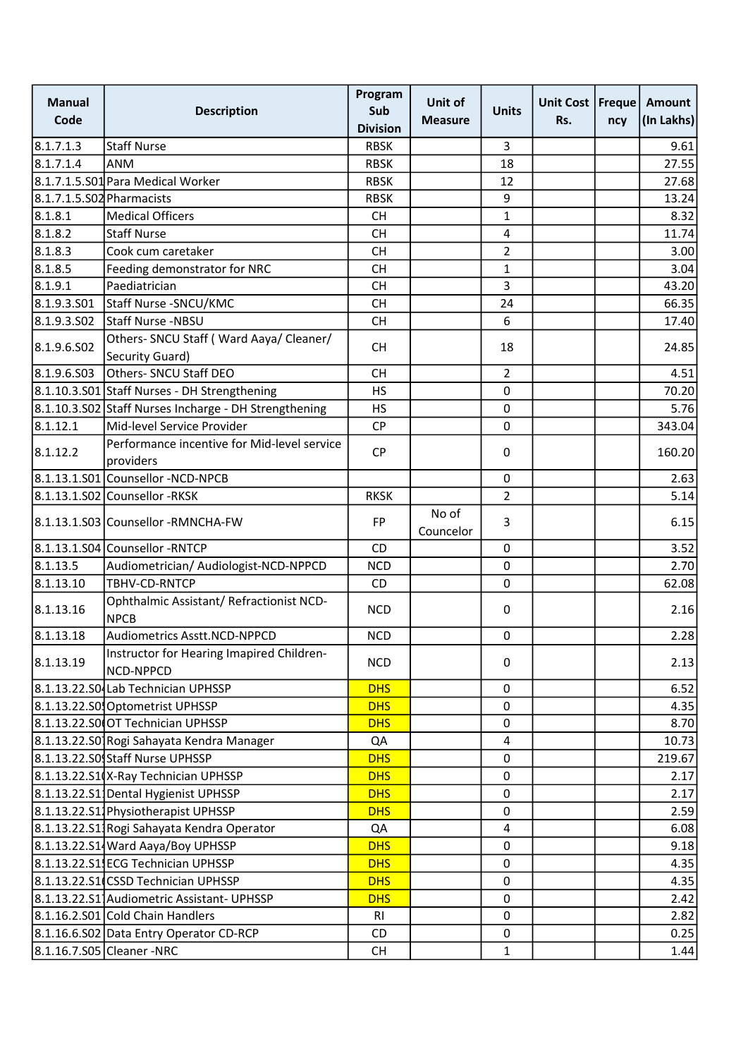| <b>Manual</b><br>Code     | <b>Description</b>                                      | Program<br>Sub<br><b>Division</b> | Unit of<br><b>Measure</b> | <b>Units</b>   | Unit Cost   Freque  <br>Rs. | ncy | Amount<br>(In Lakhs) |
|---------------------------|---------------------------------------------------------|-----------------------------------|---------------------------|----------------|-----------------------------|-----|----------------------|
| 8.1.7.1.3                 | <b>Staff Nurse</b>                                      | <b>RBSK</b>                       |                           | 3              |                             |     | 9.61                 |
| 8.1.7.1.4                 | <b>ANM</b>                                              | <b>RBSK</b>                       |                           | 18             |                             |     | 27.55                |
|                           | 8.1.7.1.5.S01 Para Medical Worker                       | <b>RBSK</b>                       |                           | 12             |                             |     | 27.68                |
| 8.1.7.1.5.S02 Pharmacists |                                                         | <b>RBSK</b>                       |                           | 9              |                             |     | 13.24                |
| 8.1.8.1                   | Medical Officers                                        | <b>CH</b>                         |                           | $\mathbf{1}$   |                             |     | 8.32                 |
| 8.1.8.2                   | <b>Staff Nurse</b>                                      | <b>CH</b>                         |                           | $\overline{4}$ |                             |     | 11.74                |
| 8.1.8.3                   | Cook cum caretaker                                      | <b>CH</b>                         |                           | $\overline{2}$ |                             |     | 3.00                 |
| 8.1.8.5                   | Feeding demonstrator for NRC                            | <b>CH</b>                         |                           | $\mathbf{1}$   |                             |     | 3.04                 |
| 8.1.9.1                   | Paediatrician                                           | <b>CH</b>                         |                           | 3              |                             |     | 43.20                |
| 8.1.9.3.S01               | Staff Nurse - SNCU/KMC                                  | <b>CH</b>                         |                           | 24             |                             |     | 66.35                |
| 8.1.9.3.SO2               | Staff Nurse -NBSU                                       | <b>CH</b>                         |                           | 6              |                             |     | 17.40                |
|                           | Others- SNCU Staff (Ward Aaya/ Cleaner/                 |                                   |                           |                |                             |     |                      |
| 8.1.9.6.502               | Security Guard)                                         | <b>CH</b>                         |                           | 18             |                             |     | 24.85                |
| 8.1.9.6.S03               | Others- SNCU Staff DEO                                  | <b>CH</b>                         |                           | $\overline{2}$ |                             |     | 4.51                 |
|                           | 8.1.10.3.S01 Staff Nurses - DH Strengthening            | <b>HS</b>                         |                           | $\mathbf 0$    |                             |     | 70.20                |
|                           | 8.1.10.3.S02 Staff Nurses Incharge - DH Strengthening   | <b>HS</b>                         |                           | $\pmb{0}$      |                             |     | 5.76                 |
| 8.1.12.1                  | Mid-level Service Provider                              | CP                                |                           | $\mathbf 0$    |                             |     | 343.04               |
| 8.1.12.2                  | Performance incentive for Mid-level service             | <b>CP</b>                         |                           | 0              |                             |     | 160.20               |
|                           | providers                                               |                                   |                           |                |                             |     |                      |
|                           | 8.1.13.1.S01 Counsellor -NCD-NPCB                       |                                   |                           | $\pmb{0}$      |                             |     | 2.63                 |
|                           | 8.1.13.1.S02 Counsellor -RKSK                           | <b>RKSK</b>                       |                           | $\overline{2}$ |                             |     | 5.14                 |
|                           | 8.1.13.1.S03 Counsellor -RMNCHA-FW                      | <b>FP</b>                         | No of<br>Councelor        | 3              |                             |     | 6.15                 |
|                           | 8.1.13.1.S04 Counsellor -RNTCP                          | CD                                |                           | $\mathbf 0$    |                             |     | 3.52                 |
| 8.1.13.5                  | Audiometrician/ Audiologist-NCD-NPPCD                   | <b>NCD</b>                        |                           | $\mathbf 0$    |                             |     | 2.70                 |
| 8.1.13.10                 | TBHV-CD-RNTCP                                           | CD                                |                           | 0              |                             |     | 62.08                |
| 8.1.13.16                 | Ophthalmic Assistant/ Refractionist NCD-<br><b>NPCB</b> | <b>NCD</b>                        |                           | 0              |                             |     | 2.16                 |
| 8.1.13.18                 | Audiometrics Asstt.NCD-NPPCD                            | <b>NCD</b>                        |                           | 0              |                             |     | 2.28                 |
| 8.1.13.19                 | Instructor for Hearing Imapired Children-<br>NCD-NPPCD  | <b>NCD</b>                        |                           | 0              |                             |     | 2.13                 |
|                           | 8.1.13.22.S0 Lab Technician UPHSSP                      | <b>DHS</b>                        |                           | 0              |                             |     | 6.52                 |
|                           | 8.1.13.22.S0 Optometrist UPHSSP                         | <b>DHS</b>                        |                           | $\mathbf 0$    |                             |     | 4.35                 |
|                           | 8.1.13.22.S0 OT Technician UPHSSP                       | <b>DHS</b>                        |                           | $\mathbf 0$    |                             |     | 8.70                 |
|                           | 8.1.13.22.S0 Rogi Sahayata Kendra Manager               | QA                                |                           | 4              |                             |     | 10.73                |
|                           | 8.1.13.22.S0 Staff Nurse UPHSSP                         | <b>DHS</b>                        |                           | 0              |                             |     | 219.67               |
|                           | 8.1.13.22.S1(X-Ray Technician UPHSSP                    | <b>DHS</b>                        |                           | $\pmb{0}$      |                             |     | 2.17                 |
|                           | 8.1.13.22.S1 Dental Hygienist UPHSSP                    | <b>DHS</b>                        |                           | $\pmb{0}$      |                             |     | 2.17                 |
|                           | 8.1.13.22.S11Physiotherapist UPHSSP                     | <b>DHS</b>                        |                           | 0              |                             |     | 2.59                 |
|                           | 8.1.13.22.S11Rogi Sahayata Kendra Operator              | QA                                |                           | 4              |                             |     | 6.08                 |
|                           | 8.1.13.22.S1 Ward Aaya/Boy UPHSSP                       | <b>DHS</b>                        |                           | $\mathbf 0$    |                             |     | 9.18                 |
|                           | 8.1.13.22.S1 ECG Technician UPHSSP                      | <b>DHS</b>                        |                           | 0              |                             |     | 4.35                 |
|                           | 8.1.13.22.S1 CSSD Technician UPHSSP                     | <b>DHS</b>                        |                           | 0              |                             |     | 4.35                 |
|                           | 8.1.13.22.S1 Audiometric Assistant- UPHSSP              | <b>DHS</b>                        |                           | 0              |                             |     | 2.42                 |
|                           | 8.1.16.2.S01 Cold Chain Handlers                        | RI                                |                           | 0              |                             |     | 2.82                 |
|                           | 8.1.16.6.S02 Data Entry Operator CD-RCP                 | CD                                |                           | 0              |                             |     | 0.25                 |
|                           | 8.1.16.7.S05 Cleaner -NRC                               | <b>CH</b>                         |                           | $\mathbf{1}$   |                             |     | 1.44                 |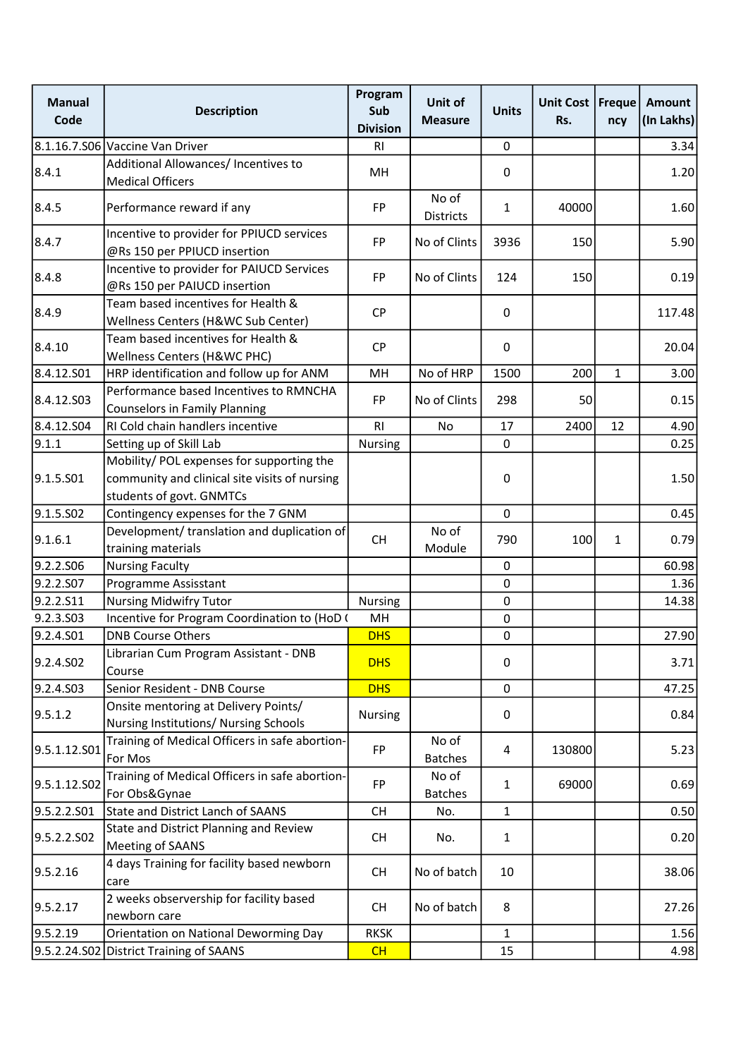| <b>Manual</b><br>Code | <b>Description</b>                                                                                                     | Program<br>Sub<br><b>Division</b> | Unit of<br><b>Measure</b> | <b>Units</b> | Unit Cost   Freque<br>Rs. | ncy          | Amount<br>(In Lakhs) |
|-----------------------|------------------------------------------------------------------------------------------------------------------------|-----------------------------------|---------------------------|--------------|---------------------------|--------------|----------------------|
|                       | 8.1.16.7.S06 Vaccine Van Driver                                                                                        | R <sub>l</sub>                    |                           | 0            |                           |              | 3.34                 |
| 8.4.1                 | Additional Allowances/ Incentives to<br><b>Medical Officers</b>                                                        | MH                                |                           | $\mathbf 0$  |                           |              | 1.20                 |
| 8.4.5                 | Performance reward if any                                                                                              | FP                                | No of<br>Districts        | $\mathbf{1}$ | 40000                     |              | 1.60                 |
| 8.4.7                 | Incentive to provider for PPIUCD services<br>@Rs 150 per PPIUCD insertion                                              | <b>FP</b>                         | No of Clints              | 3936         | 150                       |              | 5.90                 |
| 8.4.8                 | Incentive to provider for PAIUCD Services<br>@Rs 150 per PAIUCD insertion                                              | FP                                | No of Clints              | 124          | 150                       |              | 0.19                 |
| 8.4.9                 | Team based incentives for Health &<br>Wellness Centers (H&WC Sub Center)                                               | <b>CP</b>                         |                           | 0            |                           |              | 117.48               |
| 8.4.10                | Team based incentives for Health &<br>Wellness Centers (H&WC PHC)                                                      | <b>CP</b>                         |                           | 0            |                           |              | 20.04                |
| 8.4.12.501            | HRP identification and follow up for ANM                                                                               | MH                                | No of HRP                 | 1500         | 200                       | $\mathbf{1}$ | 3.00                 |
| 8.4.12.S03            | Performance based Incentives to RMNCHA<br><b>Counselors in Family Planning</b>                                         | <b>FP</b>                         | No of Clints              | 298          | 50                        |              | 0.15                 |
| 8.4.12.504            | RI Cold chain handlers incentive                                                                                       | R1                                | No                        | 17           | 2400                      | 12           | 4.90                 |
| 9.1.1                 | Setting up of Skill Lab                                                                                                | <b>Nursing</b>                    |                           | 0            |                           |              | 0.25                 |
| 9.1.5.501             | Mobility/ POL expenses for supporting the<br>community and clinical site visits of nursing<br>students of govt. GNMTCs |                                   |                           | 0            |                           |              | 1.50                 |
| 9.1.5.502             | Contingency expenses for the 7 GNM                                                                                     |                                   |                           | $\pmb{0}$    |                           |              | 0.45                 |
| 9.1.6.1               | Development/ translation and duplication of<br>training materials                                                      | <b>CH</b>                         | No of<br>Module           | 790          | 100                       | 1            | 0.79                 |
| 9.2.2.S06             | <b>Nursing Faculty</b>                                                                                                 |                                   |                           | $\mathbf 0$  |                           |              | 60.98                |
| 9.2.2.S07             | Programme Assisstant                                                                                                   |                                   |                           | $\pmb{0}$    |                           |              | 1.36                 |
| 9.2.2.511             | <b>Nursing Midwifry Tutor</b>                                                                                          | Nursing                           |                           | $\mathbf 0$  |                           |              | 14.38                |
| 9.2.3.S03             | Incentive for Program Coordination to (HoD (                                                                           | MH                                |                           | $\pmb{0}$    |                           |              |                      |
| 9.2.4.501             | <b>DNB Course Others</b>                                                                                               | <b>DHS</b>                        |                           | $\pmb{0}$    |                           |              | 27.90                |
| 9.2.4.SO2             | Librarian Cum Program Assistant - DNB<br>Course                                                                        | <b>DHS</b>                        |                           | 0            |                           |              | 3.71                 |
| 9.2.4.S03             | Senior Resident - DNB Course                                                                                           | <b>DHS</b>                        |                           | 0            |                           |              | 47.25                |
| 9.5.1.2               | Onsite mentoring at Delivery Points/<br>Nursing Institutions/ Nursing Schools                                          | <b>Nursing</b>                    |                           | 0            |                           |              | 0.84                 |
| 9.5.1.12.S01          | Training of Medical Officers in safe abortion-<br>For Mos                                                              | FP                                | No of<br><b>Batches</b>   | 4            | 130800                    |              | 5.23                 |
| 9.5.1.12.S02          | Training of Medical Officers in safe abortion-<br>For Obs&Gynae                                                        | FP                                | No of<br><b>Batches</b>   | $\mathbf{1}$ | 69000                     |              | 0.69                 |
| 9.5.2.2.S01           | State and District Lanch of SAANS                                                                                      | <b>CH</b>                         | No.                       | $\mathbf{1}$ |                           |              | 0.50                 |
| 9.5.2.2.502           | State and District Planning and Review<br><b>Meeting of SAANS</b>                                                      | <b>CH</b>                         | No.                       | $\mathbf{1}$ |                           |              | 0.20                 |
| 9.5.2.16              | 4 days Training for facility based newborn<br>care                                                                     | <b>CH</b>                         | No of batch               | 10           |                           |              | 38.06                |
| 9.5.2.17              | 2 weeks observership for facility based<br>newborn care                                                                | <b>CH</b>                         | No of batch               | 8            |                           |              | 27.26                |
| 9.5.2.19              | Orientation on National Deworming Day                                                                                  | <b>RKSK</b>                       |                           | $\mathbf{1}$ |                           |              | 1.56                 |
|                       | 9.5.2.24.S02 District Training of SAANS                                                                                | CH                                |                           | 15           |                           |              | 4.98                 |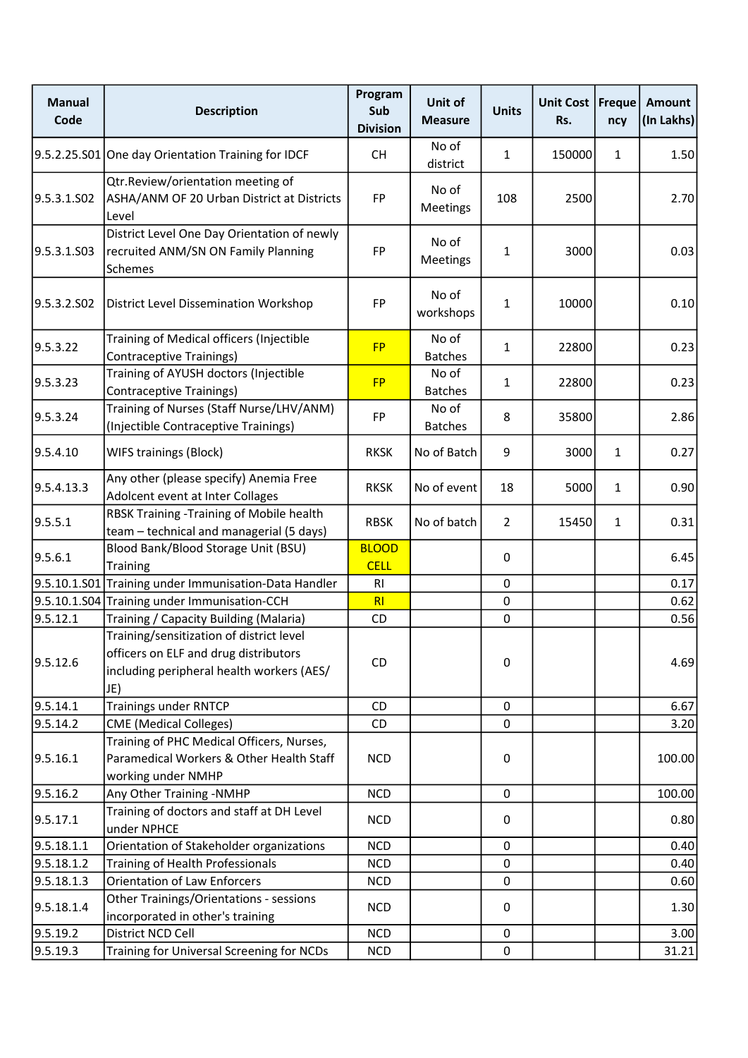| <b>Manual</b><br>Code | <b>Description</b>                                                                                                                    | Program<br>Sub<br><b>Division</b> | Unit of<br><b>Measure</b> | <b>Units</b>   | <b>Unit Cost</b><br>Rs. | <b>Freque</b><br>ncy | <b>Amount</b><br>(In Lakhs) |
|-----------------------|---------------------------------------------------------------------------------------------------------------------------------------|-----------------------------------|---------------------------|----------------|-------------------------|----------------------|-----------------------------|
|                       | 9.5.2.25.S01 One day Orientation Training for IDCF                                                                                    | <b>CH</b>                         | No of<br>district         | $\mathbf{1}$   | 150000                  | $\mathbf{1}$         | 1.50                        |
| 9.5.3.1.SO2           | Qtr.Review/orientation meeting of<br>ASHA/ANM OF 20 Urban District at Districts<br>Level                                              | FP                                | No of<br>Meetings         | 108            | 2500                    |                      | 2.70                        |
| 9.5.3.1.503           | District Level One Day Orientation of newly<br>recruited ANM/SN ON Family Planning<br>Schemes                                         | FP                                | No of<br>Meetings         | 1              | 3000                    |                      | 0.03                        |
| 9.5.3.2.502           | <b>District Level Dissemination Workshop</b>                                                                                          | FP                                | No of<br>workshops        | $\mathbf{1}$   | 10000                   |                      | 0.10                        |
| 9.5.3.22              | Training of Medical officers (Injectible<br><b>Contraceptive Trainings)</b>                                                           | <b>FP</b>                         | No of<br><b>Batches</b>   | $\mathbf{1}$   | 22800                   |                      | 0.23                        |
| 9.5.3.23              | Training of AYUSH doctors (Injectible<br><b>Contraceptive Trainings)</b>                                                              | <b>FP</b>                         | No of<br><b>Batches</b>   | $\mathbf{1}$   | 22800                   |                      | 0.23                        |
| 9.5.3.24              | Training of Nurses (Staff Nurse/LHV/ANM)<br>(Injectible Contraceptive Trainings)                                                      | FP                                | No of<br><b>Batches</b>   | 8              | 35800                   |                      | 2.86                        |
| 9.5.4.10              | <b>WIFS trainings (Block)</b>                                                                                                         | <b>RKSK</b>                       | No of Batch               | 9              | 3000                    | $\mathbf{1}$         | 0.27                        |
| 9.5.4.13.3            | Any other (please specify) Anemia Free<br>Adolcent event at Inter Collages                                                            | <b>RKSK</b>                       | No of event               | 18             | 5000                    | $\mathbf{1}$         | 0.90                        |
| 9.5.5.1               | RBSK Training - Training of Mobile health<br>team - technical and managerial (5 days)                                                 | <b>RBSK</b>                       | No of batch               | $\overline{2}$ | 15450                   | $\mathbf{1}$         | 0.31                        |
| 9.5.6.1               | Blood Bank/Blood Storage Unit (BSU)<br><b>Training</b>                                                                                | <b>BLOOD</b><br><b>CELL</b>       |                           | 0              |                         |                      | 6.45                        |
|                       | 9.5.10.1.S01 Training under Immunisation-Data Handler                                                                                 | R <sub>1</sub>                    |                           | $\pmb{0}$      |                         |                      | 0.17                        |
|                       | 9.5.10.1.S04 Training under Immunisation-CCH                                                                                          | RI                                |                           | 0              |                         |                      | 0.62                        |
| 9.5.12.1              | Training / Capacity Building (Malaria)                                                                                                | CD                                |                           | $\mathbf 0$    |                         |                      | 0.56                        |
| 9.5.12.6              | Training/sensitization of district level<br>officers on ELF and drug distributors<br>including peripheral health workers (AES/<br>JE) | CD                                |                           | $\pmb{0}$      |                         |                      | 4.69                        |
| 9.5.14.1              | <b>Trainings under RNTCP</b>                                                                                                          | CD                                |                           | $\mathbf 0$    |                         |                      | 6.67                        |
| 9.5.14.2              | <b>CME</b> (Medical Colleges)                                                                                                         | CD                                |                           | $\mathbf 0$    |                         |                      | 3.20                        |
| 9.5.16.1              | Training of PHC Medical Officers, Nurses,<br>Paramedical Workers & Other Health Staff<br>working under NMHP                           | <b>NCD</b>                        |                           | 0              |                         |                      | 100.00                      |
| 9.5.16.2              | Any Other Training -NMHP                                                                                                              | <b>NCD</b>                        |                           | 0              |                         |                      | 100.00                      |
| 9.5.17.1              | Training of doctors and staff at DH Level<br>under NPHCE                                                                              | <b>NCD</b>                        |                           | 0              |                         |                      | 0.80                        |
| 9.5.18.1.1            | Orientation of Stakeholder organizations                                                                                              | <b>NCD</b>                        |                           | 0              |                         |                      | 0.40                        |
| 9.5.18.1.2            | Training of Health Professionals                                                                                                      | <b>NCD</b>                        |                           | $\mathbf 0$    |                         |                      | 0.40                        |
| 9.5.18.1.3            | <b>Orientation of Law Enforcers</b>                                                                                                   | <b>NCD</b>                        |                           | $\mathbf 0$    |                         |                      | 0.60                        |
| 9.5.18.1.4            | Other Trainings/Orientations - sessions<br>incorporated in other's training                                                           | <b>NCD</b>                        |                           | 0              |                         |                      | 1.30                        |
| 9.5.19.2              | District NCD Cell                                                                                                                     | <b>NCD</b>                        |                           | $\mathbf 0$    |                         |                      | 3.00                        |
| 9.5.19.3              | Training for Universal Screening for NCDs                                                                                             | <b>NCD</b>                        |                           | $\mathbf 0$    |                         |                      | 31.21                       |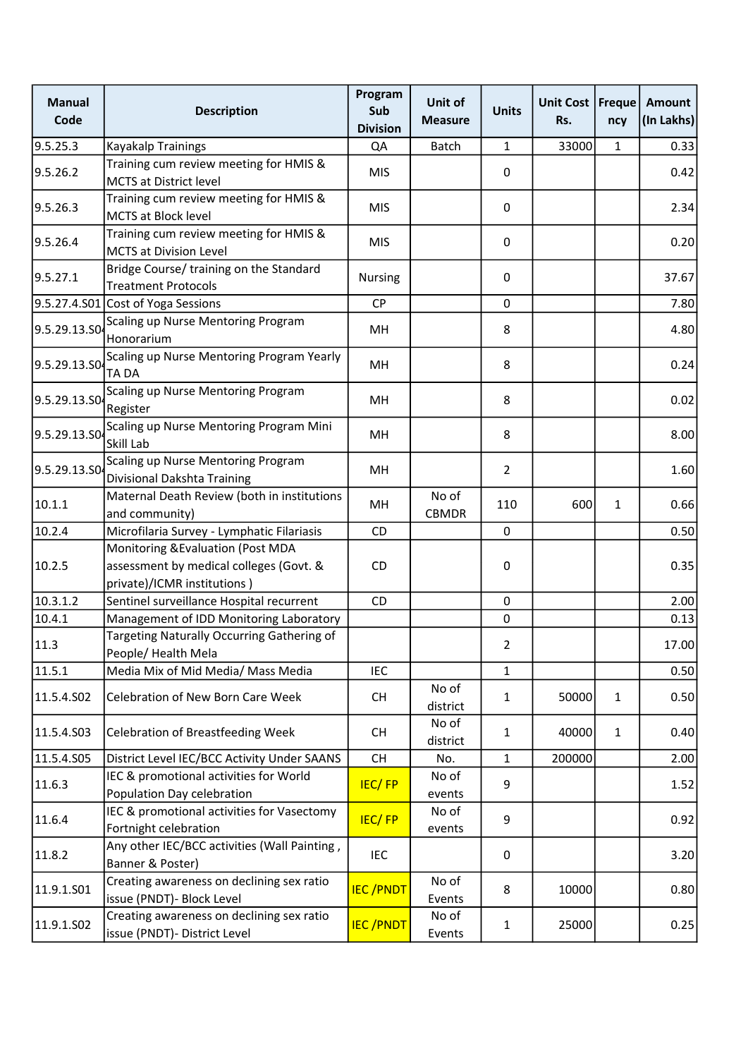| <b>Manual</b><br>Code | <b>Description</b>                                                                                          | Program<br>Sub<br><b>Division</b> | Unit of<br><b>Measure</b> | <b>Units</b>   | Unit Cost   Freque<br>Rs. | ncy          | Amount<br>(In Lakhs) |
|-----------------------|-------------------------------------------------------------------------------------------------------------|-----------------------------------|---------------------------|----------------|---------------------------|--------------|----------------------|
| 9.5.25.3              | <b>Kayakalp Trainings</b>                                                                                   | QA                                | Batch                     | $\mathbf{1}$   | 33000                     | $\mathbf{1}$ | 0.33                 |
| 9.5.26.2              | Training cum review meeting for HMIS &<br><b>MCTS at District level</b>                                     | <b>MIS</b>                        |                           | 0              |                           |              | 0.42                 |
| 9.5.26.3              | Training cum review meeting for HMIS &<br>MCTS at Block level                                               | <b>MIS</b>                        |                           | 0              |                           |              | 2.34                 |
| 9.5.26.4              | Training cum review meeting for HMIS &<br><b>MCTS at Division Level</b>                                     | <b>MIS</b>                        |                           | $\pmb{0}$      |                           |              | 0.20                 |
| 9.5.27.1              | Bridge Course/ training on the Standard<br><b>Treatment Protocols</b>                                       | <b>Nursing</b>                    |                           | 0              |                           |              | 37.67                |
|                       | 9.5.27.4.S01 Cost of Yoga Sessions                                                                          | <b>CP</b>                         |                           | 0              |                           |              | 7.80                 |
| 9.5.29.13.SO          | Scaling up Nurse Mentoring Program<br>Honorarium                                                            | MH                                |                           | 8              |                           |              | 4.80                 |
| 9.5.29.13.SO          | Scaling up Nurse Mentoring Program Yearly<br><b>TADA</b>                                                    | MH                                |                           | 8              |                           |              | 0.24                 |
| 9.5.29.13.SO          | Scaling up Nurse Mentoring Program<br>Register                                                              | MH                                |                           | 8              |                           |              | 0.02                 |
| 9.5.29.13.SO          | Scaling up Nurse Mentoring Program Mini<br>Skill Lab                                                        | MH                                |                           | 8              |                           |              | 8.00                 |
| 9.5.29.13.SO          | Scaling up Nurse Mentoring Program<br>Divisional Dakshta Training                                           | MH                                |                           | $\overline{2}$ |                           |              | 1.60                 |
| 10.1.1                | Maternal Death Review (both in institutions<br>and community)                                               | MH                                | No of<br>CBMDR            | 110            | 600                       | $\mathbf{1}$ | 0.66                 |
| 10.2.4                | Microfilaria Survey - Lymphatic Filariasis                                                                  | CD                                |                           | 0              |                           |              | 0.50                 |
| 10.2.5                | Monitoring & Evaluation (Post MDA<br>assessment by medical colleges (Govt. &<br>private)/ICMR institutions) | CD.                               |                           | 0              |                           |              | 0.35                 |
| 10.3.1.2              | Sentinel surveillance Hospital recurrent                                                                    | <b>CD</b>                         |                           | 0              |                           |              | 2.00                 |
| 10.4.1                | Management of IDD Monitoring Laboratory                                                                     |                                   |                           | $\pmb{0}$      |                           |              | 0.13                 |
| 11.3                  | Targeting Naturally Occurring Gathering of<br>People/ Health Mela                                           |                                   |                           | $\mathcal{P}$  |                           |              | 17.00                |
| 11.5.1                | Media Mix of Mid Media/ Mass Media                                                                          | <b>IEC</b>                        |                           | $\mathbf{1}$   |                           |              | 0.50                 |
| 11.5.4.S02            | Celebration of New Born Care Week                                                                           | <b>CH</b>                         | No of<br>district         | $\mathbf{1}$   | 50000                     | $\mathbf{1}$ | 0.50                 |
| 11.5.4.S03            | <b>Celebration of Breastfeeding Week</b>                                                                    | <b>CH</b>                         | No of<br>district         | $\mathbf{1}$   | 40000                     | $\mathbf{1}$ | 0.40                 |
| 11.5.4.S05            | District Level IEC/BCC Activity Under SAANS                                                                 | <b>CH</b>                         | No.                       | $\mathbf{1}$   | 200000                    |              | 2.00                 |
| 11.6.3                | IEC & promotional activities for World<br>Population Day celebration                                        | <b>IEC/FP</b>                     | No of<br>events           | 9              |                           |              | 1.52                 |
| 11.6.4                | IEC & promotional activities for Vasectomy<br>Fortnight celebration                                         | <b>IEC/FP</b>                     | No of<br>events           | 9              |                           |              | 0.92                 |
| 11.8.2                | Any other IEC/BCC activities (Wall Painting,<br>Banner & Poster)                                            | IEC                               |                           | 0              |                           |              | 3.20                 |
| 11.9.1.S01            | Creating awareness on declining sex ratio<br>issue (PNDT)- Block Level                                      | <b>IEC/PNDT</b>                   | No of<br>Events           | 8              | 10000                     |              | 0.80                 |
| 11.9.1.S02            | Creating awareness on declining sex ratio<br>issue (PNDT)- District Level                                   | <b>IEC/PNDT</b>                   | No of<br>Events           | $\mathbf{1}$   | 25000                     |              | 0.25                 |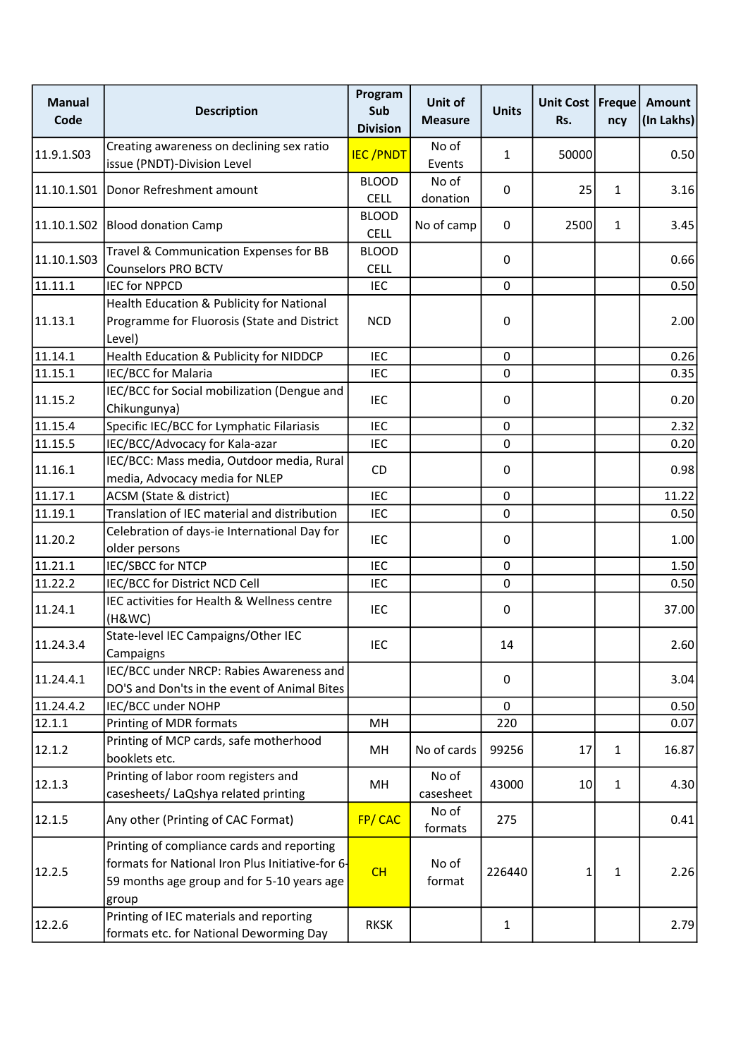| <b>Manual</b><br>Code | <b>Description</b>                                                                                                                                    | Program<br>Sub<br><b>Division</b> | Unit of<br><b>Measure</b> | <b>Units</b> | Unit Cost   Freque  <br>Rs. | ncy          | Amount<br>(In Lakhs) |
|-----------------------|-------------------------------------------------------------------------------------------------------------------------------------------------------|-----------------------------------|---------------------------|--------------|-----------------------------|--------------|----------------------|
|                       | Creating awareness on declining sex ratio                                                                                                             |                                   | No of                     |              |                             |              |                      |
| 11.9.1.S03            | issue (PNDT)-Division Level                                                                                                                           | <b>IEC/PNDT</b>                   | Events                    | 1            | 50000                       |              | 0.50                 |
|                       |                                                                                                                                                       | <b>BLOOD</b>                      | No of                     |              |                             |              |                      |
| 11.10.1.S01           | Donor Refreshment amount                                                                                                                              | <b>CELL</b>                       | donation                  | 0            | 25                          | 1            | 3.16                 |
|                       | 11.10.1.S02 Blood donation Camp                                                                                                                       | <b>BLOOD</b><br><b>CELL</b>       | No of camp                | 0            | 2500                        | $\mathbf{1}$ | 3.45                 |
|                       | Travel & Communication Expenses for BB                                                                                                                | <b>BLOOD</b>                      |                           |              |                             |              |                      |
| 11.10.1.503           | <b>Counselors PRO BCTV</b>                                                                                                                            | <b>CELL</b>                       |                           | 0            |                             |              | 0.66                 |
| 11.11.1               | <b>IEC for NPPCD</b>                                                                                                                                  | <b>IEC</b>                        |                           | $\mathbf 0$  |                             |              | 0.50                 |
| 11.13.1               | Health Education & Publicity for National<br>Programme for Fluorosis (State and District<br>Level)                                                    | <b>NCD</b>                        |                           | 0            |                             |              | 2.00                 |
| 11.14.1               | Health Education & Publicity for NIDDCP                                                                                                               | <b>IEC</b>                        |                           | $\mathbf 0$  |                             |              | 0.26                 |
| 11.15.1               | IEC/BCC for Malaria                                                                                                                                   | <b>IEC</b>                        |                           | $\mathbf 0$  |                             |              | 0.35                 |
| 11.15.2               | IEC/BCC for Social mobilization (Dengue and<br>Chikungunya)                                                                                           | <b>IEC</b>                        |                           | 0            |                             |              | 0.20                 |
| 11.15.4               | Specific IEC/BCC for Lymphatic Filariasis                                                                                                             | <b>IEC</b>                        |                           | 0            |                             |              | 2.32                 |
| 11.15.5               | IEC/BCC/Advocacy for Kala-azar                                                                                                                        | <b>IEC</b>                        |                           | 0            |                             |              | 0.20                 |
| 11.16.1               | IEC/BCC: Mass media, Outdoor media, Rural<br>media, Advocacy media for NLEP                                                                           | CD                                |                           | 0            |                             |              | 0.98                 |
| 11.17.1               | ACSM (State & district)                                                                                                                               | <b>IEC</b>                        |                           | $\mathbf 0$  |                             |              | 11.22                |
| 11.19.1               | Translation of IEC material and distribution                                                                                                          | <b>IEC</b>                        |                           | 0            |                             |              | 0.50                 |
| 11.20.2               | Celebration of days-ie International Day for<br>older persons                                                                                         | <b>IEC</b>                        |                           | 0            |                             |              | 1.00                 |
| 11.21.1               | IEC/SBCC for NTCP                                                                                                                                     | <b>IEC</b>                        |                           | 0            |                             |              | 1.50                 |
| 11.22.2               | IEC/BCC for District NCD Cell                                                                                                                         | <b>IEC</b>                        |                           | $\mathbf 0$  |                             |              | 0.50                 |
| 11.24.1               | IEC activities for Health & Wellness centre<br>(H&WC)                                                                                                 | <b>IEC</b>                        |                           | 0            |                             |              | 37.00                |
| 11.24.3.4             | State-level IEC Campaigns/Other IEC<br>Campaigns                                                                                                      | IEC                               |                           | 14           |                             |              | 2.60                 |
| 11.24.4.1             | IEC/BCC under NRCP: Rabies Awareness and<br>DO'S and Don'ts in the event of Animal Bites                                                              |                                   |                           | 0            |                             |              | 3.04                 |
| 11.24.4.2             | IEC/BCC under NOHP                                                                                                                                    |                                   |                           | $\mathbf 0$  |                             |              | 0.50                 |
| 12.1.1                | Printing of MDR formats                                                                                                                               | MH                                |                           | 220          |                             |              | 0.07                 |
| 12.1.2                | Printing of MCP cards, safe motherhood<br>booklets etc.                                                                                               | MН                                | No of cards               | 99256        | 17                          | 1            | 16.87                |
| 12.1.3                | Printing of labor room registers and<br>casesheets/ LaQshya related printing                                                                          | MН                                | No of<br>casesheet        | 43000        | 10                          | 1            | 4.30                 |
| 12.1.5                | Any other (Printing of CAC Format)                                                                                                                    | FP/CAC                            | No of<br>formats          | 275          |                             |              | 0.41                 |
| 12.2.5                | Printing of compliance cards and reporting<br>formats for National Iron Plus Initiative-for 6-<br>59 months age group and for 5-10 years age<br>group | CH                                | No of<br>format           | 226440       | 1                           | 1            | 2.26                 |
| 12.2.6                | Printing of IEC materials and reporting<br>formats etc. for National Deworming Day                                                                    | <b>RKSK</b>                       |                           | $\mathbf{1}$ |                             |              | 2.79                 |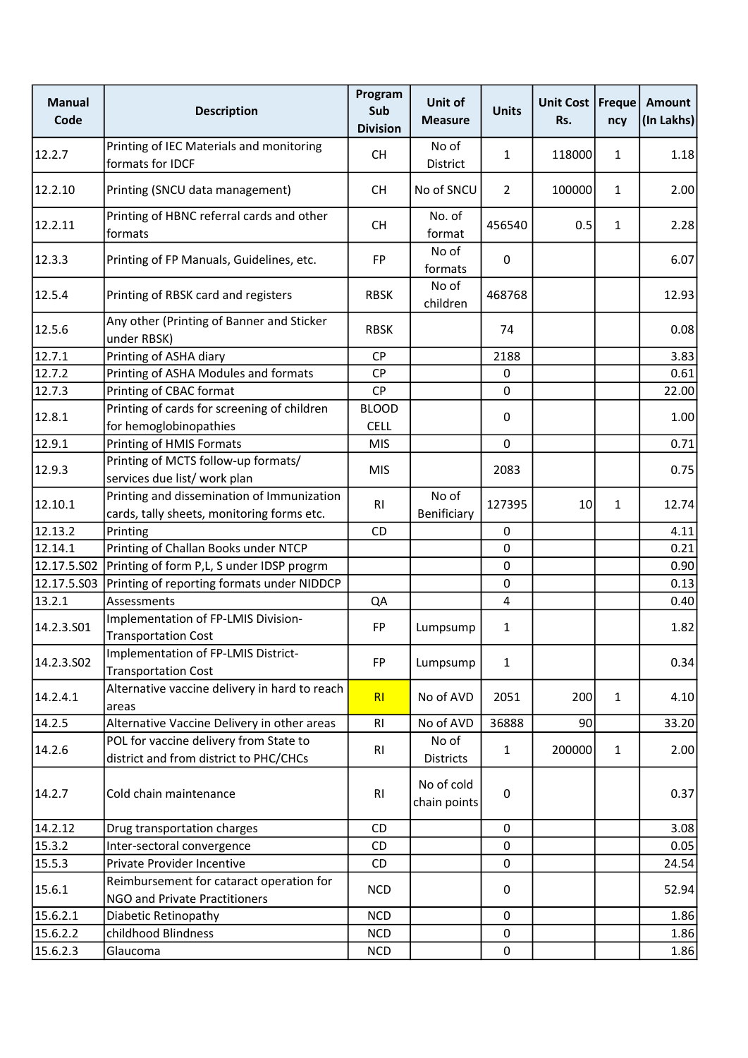| <b>Manual</b><br>Code | <b>Description</b>                                                                       | Program<br>Sub<br><b>Division</b> | Unit of<br><b>Measure</b>  | <b>Units</b>   | Unit Cost   Freque<br>Rs. | ncy          | Amount<br>(In Lakhs) |
|-----------------------|------------------------------------------------------------------------------------------|-----------------------------------|----------------------------|----------------|---------------------------|--------------|----------------------|
| 12.2.7                | Printing of IEC Materials and monitoring<br>formats for IDCF                             | <b>CH</b>                         | No of<br>District          | $\mathbf{1}$   | 118000                    | $\mathbf{1}$ | 1.18                 |
| 12.2.10               | Printing (SNCU data management)                                                          | <b>CH</b>                         | No of SNCU                 | $\overline{2}$ | 100000                    | $\mathbf{1}$ | 2.00                 |
| 12.2.11               | Printing of HBNC referral cards and other<br>formats                                     | <b>CH</b>                         | No. of<br>format           | 456540         | 0.5                       | $\mathbf{1}$ | 2.28                 |
| 12.3.3                | Printing of FP Manuals, Guidelines, etc.                                                 | FP                                | No of<br>formats           | 0              |                           |              | 6.07                 |
| 12.5.4                | Printing of RBSK card and registers                                                      | <b>RBSK</b>                       | No of<br>children          | 468768         |                           |              | 12.93                |
| 12.5.6                | Any other (Printing of Banner and Sticker<br>under RBSK)                                 | <b>RBSK</b>                       |                            | 74             |                           |              | 0.08                 |
| 12.7.1                | Printing of ASHA diary                                                                   | <b>CP</b>                         |                            | 2188           |                           |              | 3.83                 |
| 12.7.2                | Printing of ASHA Modules and formats                                                     | <b>CP</b>                         |                            | $\mathbf 0$    |                           |              | 0.61                 |
| 12.7.3                | Printing of CBAC format                                                                  | CP                                |                            | $\mathbf 0$    |                           |              | 22.00                |
| 12.8.1                | Printing of cards for screening of children                                              | <b>BLOOD</b>                      |                            | 0              |                           |              | 1.00                 |
|                       | for hemoglobinopathies                                                                   | <b>CELL</b>                       |                            |                |                           |              |                      |
| 12.9.1                | Printing of HMIS Formats                                                                 | <b>MIS</b>                        |                            | $\mathbf 0$    |                           |              | 0.71                 |
| 12.9.3                | Printing of MCTS follow-up formats/                                                      | <b>MIS</b>                        |                            | 2083           |                           |              | 0.75                 |
|                       | services due list/ work plan                                                             |                                   |                            |                |                           |              |                      |
| 12.10.1               | Printing and dissemination of Immunization<br>cards, tally sheets, monitoring forms etc. | RI                                | No of<br>Benificiary       | 127395         | 10                        | 1            | 12.74                |
| 12.13.2               | Printing                                                                                 | CD                                |                            | $\mathbf 0$    |                           |              | 4.11                 |
| 12.14.1               | Printing of Challan Books under NTCP                                                     |                                   |                            | $\mathbf 0$    |                           |              | 0.21                 |
| 12.17.5.502           | Printing of form P,L, S under IDSP progrm                                                |                                   |                            | $\pmb{0}$      |                           |              | 0.90                 |
| 12.17.5.503           | Printing of reporting formats under NIDDCP                                               |                                   |                            | $\pmb{0}$      |                           |              | 0.13                 |
| 13.2.1                |                                                                                          |                                   |                            |                |                           |              |                      |
|                       | Assessments                                                                              | QA                                |                            | 4              |                           |              | 0.40                 |
| 14.2.3.501            | Implementation of FP-LMIS Division-<br><b>Transportation Cost</b>                        | FP                                | Lumpsump                   | $\mathbf{1}$   |                           |              | 1.82                 |
| 14.2.3.502            | Implementation of FP-LMIS District-<br><b>Transportation Cost</b>                        | FP                                | Lumpsump                   | $\mathbf{1}$   |                           |              | 0.34                 |
| 14.2.4.1              | Alternative vaccine delivery in hard to reach<br>areas                                   | R <sub>l</sub>                    | No of AVD                  | 2051           | 200                       | $\mathbf{1}$ | 4.10                 |
| 14.2.5                | Alternative Vaccine Delivery in other areas                                              | RI                                | No of AVD                  | 36888          | 90                        |              | 33.20                |
|                       | POL for vaccine delivery from State to                                                   |                                   | No of                      |                |                           |              |                      |
| 14.2.6                | district and from district to PHC/CHCs                                                   | RI                                | Districts                  | $\mathbf{1}$   | 200000                    | $\mathbf{1}$ | 2.00                 |
| 14.2.7                | Cold chain maintenance                                                                   | RI                                | No of cold<br>chain points | $\pmb{0}$      |                           |              | 0.37                 |
| 14.2.12               | Drug transportation charges                                                              | CD                                |                            | $\mathbf 0$    |                           |              | 3.08                 |
| 15.3.2                | Inter-sectoral convergence                                                               | CD                                |                            | 0              |                           |              | 0.05                 |
| 15.5.3                | Private Provider Incentive                                                               | CD                                |                            | $\mathbf 0$    |                           |              | 24.54                |
| 15.6.1                | Reimbursement for cataract operation for                                                 | <b>NCD</b>                        |                            | 0              |                           |              | 52.94                |
|                       | NGO and Private Practitioners                                                            |                                   |                            |                |                           |              |                      |
| 15.6.2.1              | Diabetic Retinopathy                                                                     | <b>NCD</b>                        |                            | $\mathbf 0$    |                           |              | 1.86                 |
| 15.6.2.2              | childhood Blindness                                                                      | <b>NCD</b>                        |                            | $\pmb{0}$      |                           |              | 1.86                 |
| 15.6.2.3              | Glaucoma                                                                                 | <b>NCD</b>                        |                            | $\pmb{0}$      |                           |              | 1.86                 |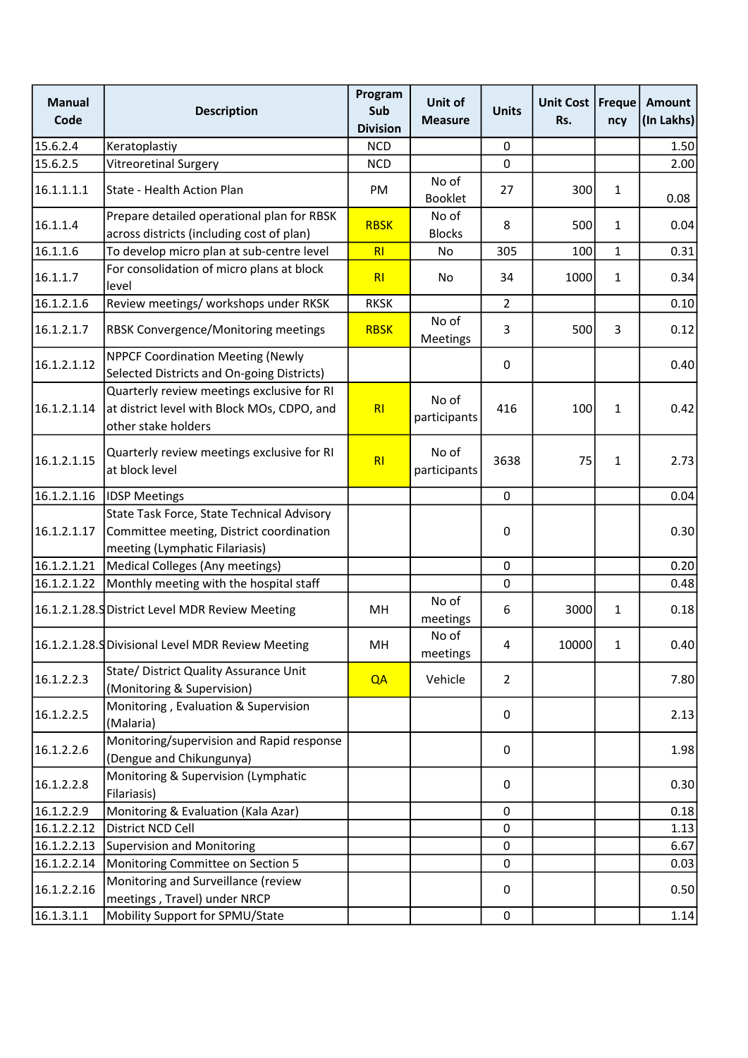| <b>Manual</b><br>Code | <b>Description</b>                                                                                                       | Program<br>Sub<br><b>Division</b> | Unit of<br><b>Measure</b> | <b>Units</b>   | Unit Cost<br>Rs. | <b>Freque</b><br>ncy | <b>Amount</b><br>(In Lakhs) |
|-----------------------|--------------------------------------------------------------------------------------------------------------------------|-----------------------------------|---------------------------|----------------|------------------|----------------------|-----------------------------|
| 15.6.2.4              | Keratoplastiy                                                                                                            | <b>NCD</b>                        |                           | 0              |                  |                      | 1.50                        |
| 15.6.2.5              | <b>Vitreoretinal Surgery</b>                                                                                             | <b>NCD</b>                        |                           | $\mathbf 0$    |                  |                      | 2.00                        |
| 16.1.1.1.1            | State - Health Action Plan                                                                                               | PM                                | No of<br><b>Booklet</b>   | 27             | 300              | $\mathbf{1}$         | 0.08                        |
| 16.1.1.4              | Prepare detailed operational plan for RBSK<br>across districts (including cost of plan)                                  | <b>RBSK</b>                       | No of<br><b>Blocks</b>    | 8              | 500              | $\mathbf{1}$         | 0.04                        |
| 16.1.1.6              | To develop micro plan at sub-centre level                                                                                | R1                                | No                        | 305            | 100              | $\mathbf{1}$         | 0.31                        |
| 16.1.1.7              | For consolidation of micro plans at block<br>level                                                                       | RI                                | No                        | 34             | 1000             | $\mathbf{1}$         | 0.34                        |
| 16.1.2.1.6            | Review meetings/ workshops under RKSK                                                                                    | <b>RKSK</b>                       |                           | $\overline{2}$ |                  |                      | 0.10                        |
| 16.1.2.1.7            | <b>RBSK Convergence/Monitoring meetings</b>                                                                              | <b>RBSK</b>                       | No of<br>Meetings         | 3              | 500              | 3                    | 0.12                        |
| 16.1.2.1.12           | <b>NPPCF Coordination Meeting (Newly</b><br>Selected Districts and On-going Districts)                                   |                                   |                           | 0              |                  |                      | 0.40                        |
| 16.1.2.1.14           | Quarterly review meetings exclusive for RI<br>at district level with Block MOs, CDPO, and<br>other stake holders         | RI                                | No of<br>participants     | 416            | 100              | $\mathbf{1}$         | 0.42                        |
| 16.1.2.1.15           | Quarterly review meetings exclusive for RI<br>at block level                                                             | RI                                | No of<br>participants     | 3638           | 75               | $\mathbf{1}$         | 2.73                        |
| 16.1.2.1.16           | <b>IDSP Meetings</b>                                                                                                     |                                   |                           | $\mathbf 0$    |                  |                      | 0.04                        |
| 16.1.2.1.17           | State Task Force, State Technical Advisory<br>Committee meeting, District coordination<br>meeting (Lymphatic Filariasis) |                                   |                           | 0              |                  |                      | 0.30                        |
| 16.1.2.1.21           | Medical Colleges (Any meetings)                                                                                          |                                   |                           | $\mathbf 0$    |                  |                      | 0.20                        |
| 16.1.2.1.22           | Monthly meeting with the hospital staff                                                                                  |                                   |                           | $\mathbf 0$    |                  |                      | 0.48                        |
|                       | 16.1.2.1.28. SDistrict Level MDR Review Meeting                                                                          | MH                                | No of<br>meetings         | 6              | 3000             | $\mathbf{1}$         | 0.18                        |
|                       | 16.1.2.1.28. SDivisional Level MDR Review Meeting                                                                        | MH                                | No of<br>meetings         | 4              | 10000            | 1                    | 0.40                        |
| 16.1.2.2.3            | State/ District Quality Assurance Unit<br>(Monitoring & Supervision)                                                     | QA                                | Vehicle                   | $\overline{2}$ |                  |                      | 7.80                        |
| 16.1.2.2.5            | Monitoring, Evaluation & Supervision<br>(Malaria)                                                                        |                                   |                           | 0              |                  |                      | 2.13                        |
| 16.1.2.2.6            | Monitoring/supervision and Rapid response<br>(Dengue and Chikungunya)                                                    |                                   |                           | 0              |                  |                      | 1.98                        |
| 16.1.2.2.8            | Monitoring & Supervision (Lymphatic<br>Filariasis)                                                                       |                                   |                           | 0              |                  |                      | 0.30                        |
| 16.1.2.2.9            | Monitoring & Evaluation (Kala Azar)                                                                                      |                                   |                           | 0              |                  |                      | 0.18                        |
| 16.1.2.2.12           | District NCD Cell                                                                                                        |                                   |                           | 0              |                  |                      | 1.13                        |
| 16.1.2.2.13           | Supervision and Monitoring                                                                                               |                                   |                           | 0              |                  |                      | 6.67                        |
| 16.1.2.2.14           | Monitoring Committee on Section 5                                                                                        |                                   |                           | $\mathbf 0$    |                  |                      | 0.03                        |
| 16.1.2.2.16           | Monitoring and Surveillance (review<br>meetings, Travel) under NRCP                                                      |                                   |                           | 0              |                  |                      | 0.50                        |
| 16.1.3.1.1            | Mobility Support for SPMU/State                                                                                          |                                   |                           | $\pmb{0}$      |                  |                      | 1.14                        |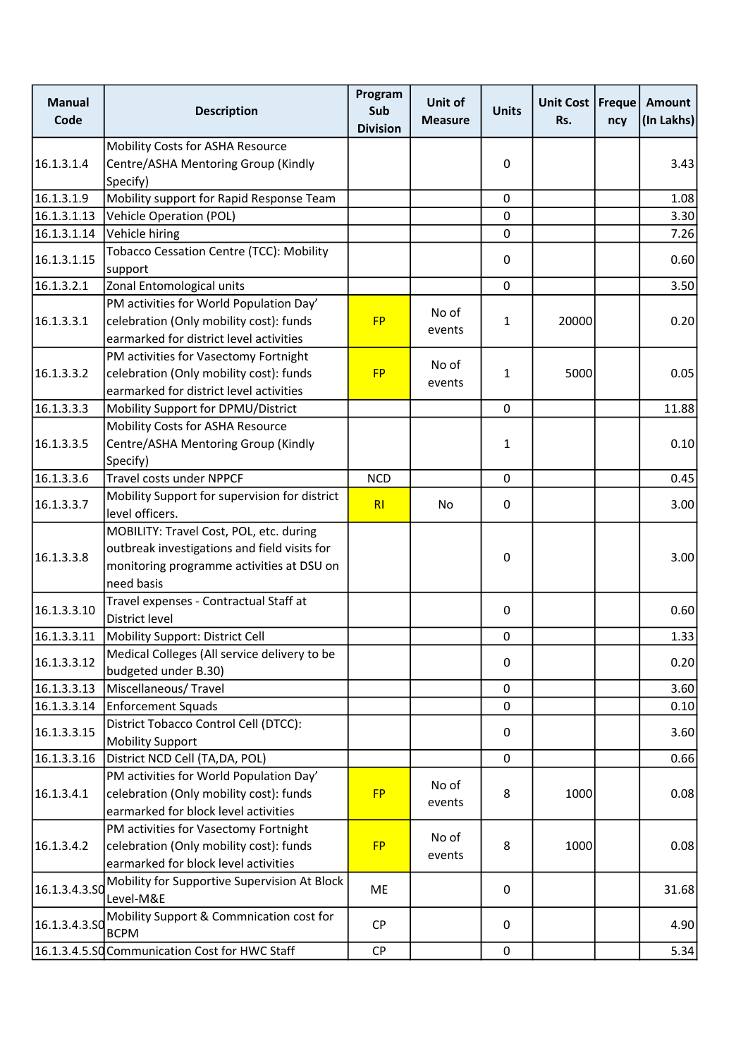| <b>Manual</b><br>Code | <b>Description</b>                                            | Program<br>Sub<br><b>Division</b> | Unit of<br><b>Measure</b> | <b>Units</b> | Unit Cost   Freque  <br>Rs. | ncy | Amount<br>(In Lakhs) |
|-----------------------|---------------------------------------------------------------|-----------------------------------|---------------------------|--------------|-----------------------------|-----|----------------------|
|                       | Mobility Costs for ASHA Resource                              |                                   |                           |              |                             |     |                      |
| 16.1.3.1.4            | Centre/ASHA Mentoring Group (Kindly                           |                                   |                           | $\mathbf 0$  |                             |     | 3.43                 |
|                       | Specify)                                                      |                                   |                           |              |                             |     |                      |
| 16.1.3.1.9            | Mobility support for Rapid Response Team                      |                                   |                           | 0            |                             |     | 1.08                 |
| 16.1.3.1.13           | <b>Vehicle Operation (POL)</b>                                |                                   |                           | $\mathbf 0$  |                             |     | 3.30                 |
| 16.1.3.1.14           | Vehicle hiring                                                |                                   |                           | $\mathbf 0$  |                             |     | 7.26                 |
| 16.1.3.1.15           | <b>Tobacco Cessation Centre (TCC): Mobility</b>               |                                   |                           | 0            |                             |     | 0.60                 |
|                       | support                                                       |                                   |                           |              |                             |     |                      |
| 16.1.3.2.1            | Zonal Entomological units                                     |                                   |                           | $\mathbf 0$  |                             |     | 3.50                 |
|                       | PM activities for World Population Day'                       |                                   | No of                     |              |                             |     |                      |
| 16.1.3.3.1            | celebration (Only mobility cost): funds                       | <b>FP</b>                         | events                    | $\mathbf{1}$ | 20000                       |     | 0.20                 |
|                       | earmarked for district level activities                       |                                   |                           |              |                             |     |                      |
|                       | PM activities for Vasectomy Fortnight                         |                                   | No of                     |              |                             |     |                      |
| 16.1.3.3.2            | celebration (Only mobility cost): funds                       | <b>FP</b>                         | events                    | 1            | 5000                        |     | 0.05                 |
|                       | earmarked for district level activities                       |                                   |                           |              |                             |     |                      |
| 16.1.3.3.3            | Mobility Support for DPMU/District                            |                                   |                           | 0            |                             |     | 11.88                |
|                       | Mobility Costs for ASHA Resource                              |                                   |                           |              |                             |     |                      |
| 16.1.3.3.5            | Centre/ASHA Mentoring Group (Kindly                           |                                   |                           | 1            |                             |     | 0.10                 |
|                       | Specify)                                                      |                                   |                           |              |                             |     |                      |
| 16.1.3.3.6            | Travel costs under NPPCF                                      | <b>NCD</b>                        |                           | $\mathbf 0$  |                             |     | 0.45                 |
| 16.1.3.3.7            | Mobility Support for supervision for district                 | R <sub>l</sub>                    | No                        | 0            |                             |     | 3.00                 |
|                       | level officers.                                               |                                   |                           |              |                             |     |                      |
|                       | MOBILITY: Travel Cost, POL, etc. during                       |                                   |                           |              |                             |     |                      |
| 16.1.3.3.8            | outbreak investigations and field visits for                  |                                   |                           | 0            |                             |     | 3.00                 |
|                       | monitoring programme activities at DSU on                     |                                   |                           |              |                             |     |                      |
|                       | need basis                                                    |                                   |                           |              |                             |     |                      |
| 16.1.3.3.10           | Travel expenses - Contractual Staff at                        |                                   |                           | $\mathbf 0$  |                             |     | 0.60                 |
|                       | District level                                                |                                   |                           |              |                             |     |                      |
| 16.1.3.3.11           | Mobility Support: District Cell                               |                                   |                           | 0            |                             |     | 1.33                 |
| 16.1.3.3.12           | Medical Colleges (All service delivery to be                  |                                   |                           | 0            |                             |     | 0.20                 |
|                       | budgeted under B.30)                                          |                                   |                           |              |                             |     |                      |
| 16.1.3.3.13           | Miscellaneous/Travel                                          |                                   |                           | $\mathbf 0$  |                             |     | 3.60                 |
| 16.1.3.3.14           | <b>Enforcement Squads</b>                                     |                                   |                           | $\mathbf 0$  |                             |     | 0.10                 |
| 16.1.3.3.15           | District Tobacco Control Cell (DTCC):                         |                                   |                           | 0            |                             |     | 3.60                 |
|                       | <b>Mobility Support</b>                                       |                                   |                           |              |                             |     |                      |
| 16.1.3.3.16           | District NCD Cell (TA,DA, POL)                                |                                   |                           | $\mathbf 0$  |                             |     | 0.66                 |
|                       | PM activities for World Population Day'                       |                                   | No of                     |              |                             |     |                      |
| 16.1.3.4.1            | celebration (Only mobility cost): funds                       | <b>FP</b>                         | events                    | 8            | 1000                        |     | 0.08                 |
|                       | earmarked for block level activities                          |                                   |                           |              |                             |     |                      |
|                       | PM activities for Vasectomy Fortnight                         |                                   | No of                     |              |                             |     |                      |
| 16.1.3.4.2            | celebration (Only mobility cost): funds                       | <b>FP</b>                         | events                    | 8            | 1000                        |     | 0.08                 |
|                       | earmarked for block level activities                          |                                   |                           |              |                             |     |                      |
| 16.1.3.4.3.SO         | Mobility for Supportive Supervision At Block                  | ME                                |                           | 0            |                             |     | 31.68                |
|                       | Level-M&E                                                     |                                   |                           |              |                             |     |                      |
| 16.1.3.4.3.50         | Mobility Support & Commnication cost for                      | <b>CP</b>                         |                           | 0            |                             |     | 4.90                 |
|                       | <b>BCPM</b><br>16.1.3.4.5.SQ Communication Cost for HWC Staff | <b>CP</b>                         |                           | 0            |                             |     | 5.34                 |
|                       |                                                               |                                   |                           |              |                             |     |                      |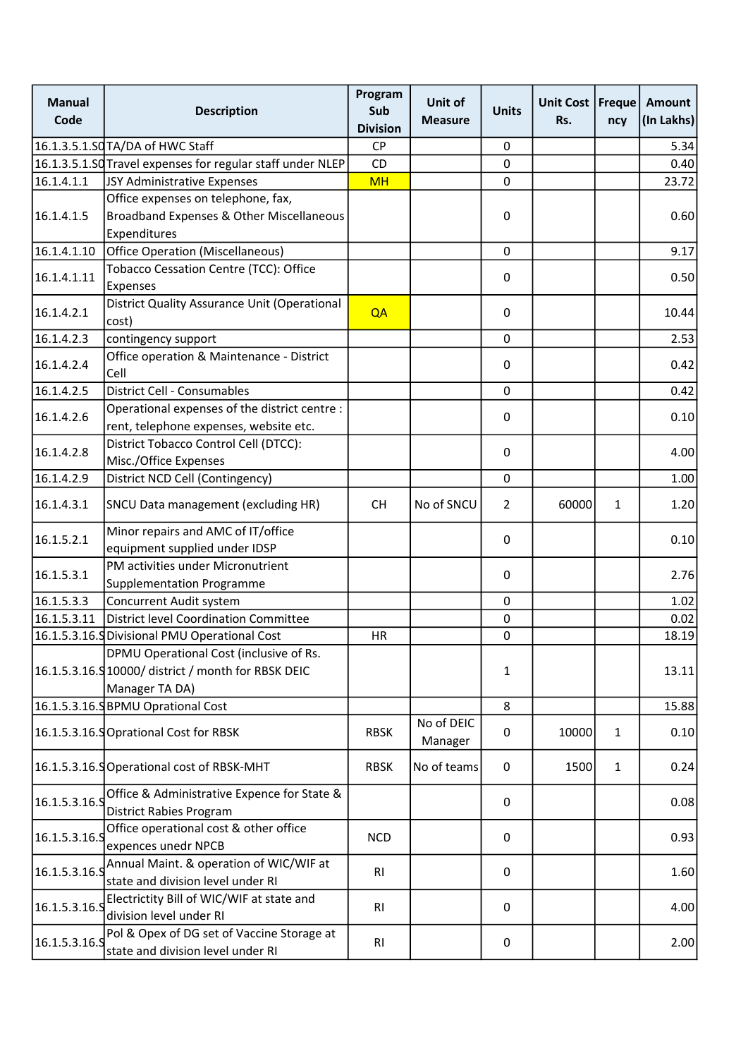| <b>Manual</b><br>Code | <b>Description</b>                                                                                               | Program<br>Sub<br><b>Division</b> | Unit of<br><b>Measure</b> | <b>Units</b>   | Unit Cost   Freque  <br>Rs. | ncy          | Amount<br>(In Lakhs) |
|-----------------------|------------------------------------------------------------------------------------------------------------------|-----------------------------------|---------------------------|----------------|-----------------------------|--------------|----------------------|
|                       | 16.1.3.5.1.SQTA/DA of HWC Staff                                                                                  | <b>CP</b>                         |                           | 0              |                             |              | 5.34                 |
|                       | 16.1.3.5.1.SQ Travel expenses for regular staff under NLEP                                                       | <b>CD</b>                         |                           | 0              |                             |              | 0.40                 |
| 16.1.4.1.1            | JSY Administrative Expenses                                                                                      | <b>MH</b>                         |                           | 0              |                             |              | 23.72                |
| 16.1.4.1.5            | Office expenses on telephone, fax,<br>Broadband Expenses & Other Miscellaneous<br>Expenditures                   |                                   |                           | 0              |                             |              | 0.60                 |
| 16.1.4.1.10           | <b>Office Operation (Miscellaneous)</b>                                                                          |                                   |                           | 0              |                             |              | 9.17                 |
| 16.1.4.1.11           | Tobacco Cessation Centre (TCC): Office<br>Expenses                                                               |                                   |                           | 0              |                             |              | 0.50                 |
| 16.1.4.2.1            | District Quality Assurance Unit (Operational<br>cost)                                                            | QA                                |                           | 0              |                             |              | 10.44                |
| 16.1.4.2.3            | contingency support                                                                                              |                                   |                           | 0              |                             |              | 2.53                 |
| 16.1.4.2.4            | Office operation & Maintenance - District<br>Cell                                                                |                                   |                           | 0              |                             |              | 0.42                 |
| 16.1.4.2.5            | <b>District Cell - Consumables</b>                                                                               |                                   |                           | 0              |                             |              | 0.42                 |
| 16.1.4.2.6            | Operational expenses of the district centre :<br>rent, telephone expenses, website etc.                          |                                   |                           | 0              |                             |              | 0.10                 |
| 16.1.4.2.8            | District Tobacco Control Cell (DTCC):<br>Misc./Office Expenses                                                   |                                   |                           | 0              |                             |              | 4.00                 |
| 16.1.4.2.9            | District NCD Cell (Contingency)                                                                                  |                                   |                           | 0              |                             |              | 1.00                 |
| 16.1.4.3.1            | SNCU Data management (excluding HR)                                                                              | <b>CH</b>                         | No of SNCU                | $\overline{2}$ | 60000                       | 1            | 1.20                 |
| 16.1.5.2.1            | Minor repairs and AMC of IT/office<br>equipment supplied under IDSP                                              |                                   |                           | 0              |                             |              | 0.10                 |
| 16.1.5.3.1            | PM activities under Micronutrient<br><b>Supplementation Programme</b>                                            |                                   |                           | 0              |                             |              | 2.76                 |
| 16.1.5.3.3            | Concurrent Audit system                                                                                          |                                   |                           | 0              |                             |              | 1.02                 |
| 16.1.5.3.11           | District level Coordination Committee                                                                            |                                   |                           | 0              |                             |              | 0.02                 |
|                       | 16.1.5.3.16. SDivisional PMU Operational Cost                                                                    | <b>HR</b>                         |                           | 0              |                             |              | 18.19                |
|                       | DPMU Operational Cost (inclusive of Rs.<br>16.1.5.3.16.9 10000/ district / month for RBSK DEIC<br>Manager TA DA) |                                   |                           | 1              |                             |              | 13.11                |
|                       | 16.1.5.3.16.SBPMU Oprational Cost                                                                                |                                   |                           | 8              |                             |              | 15.88                |
|                       | 16.1.5.3.16.9 Oprational Cost for RBSK                                                                           | <b>RBSK</b>                       | No of DEIC<br>Manager     | 0              | 10000                       | $\mathbf{1}$ | 0.10                 |
|                       | 16.1.5.3.16.SOperational cost of RBSK-MHT                                                                        | <b>RBSK</b>                       | No of teams               | 0              | 1500                        | $\mathbf{1}$ | 0.24                 |
| 16.1.5.3.16.9         | Office & Administrative Expence for State &<br><b>District Rabies Program</b>                                    |                                   |                           | 0              |                             |              | 0.08                 |
| 16.1.5.3.16.9         | Office operational cost & other office<br>expences unedr NPCB                                                    | <b>NCD</b>                        |                           | 0              |                             |              | 0.93                 |
| 16.1.5.3.16.9         | Annual Maint. & operation of WIC/WIF at<br>state and division level under RI                                     | <b>RI</b>                         |                           | 0              |                             |              | 1.60                 |
| 16.1.5.3.16.5         | Electrictity Bill of WIC/WIF at state and<br>division level under RI                                             | RI                                |                           | 0              |                             |              | 4.00                 |
| 16.1.5.3.16.9         | Pol & Opex of DG set of Vaccine Storage at<br>state and division level under RI                                  | R1                                |                           | 0              |                             |              | 2.00                 |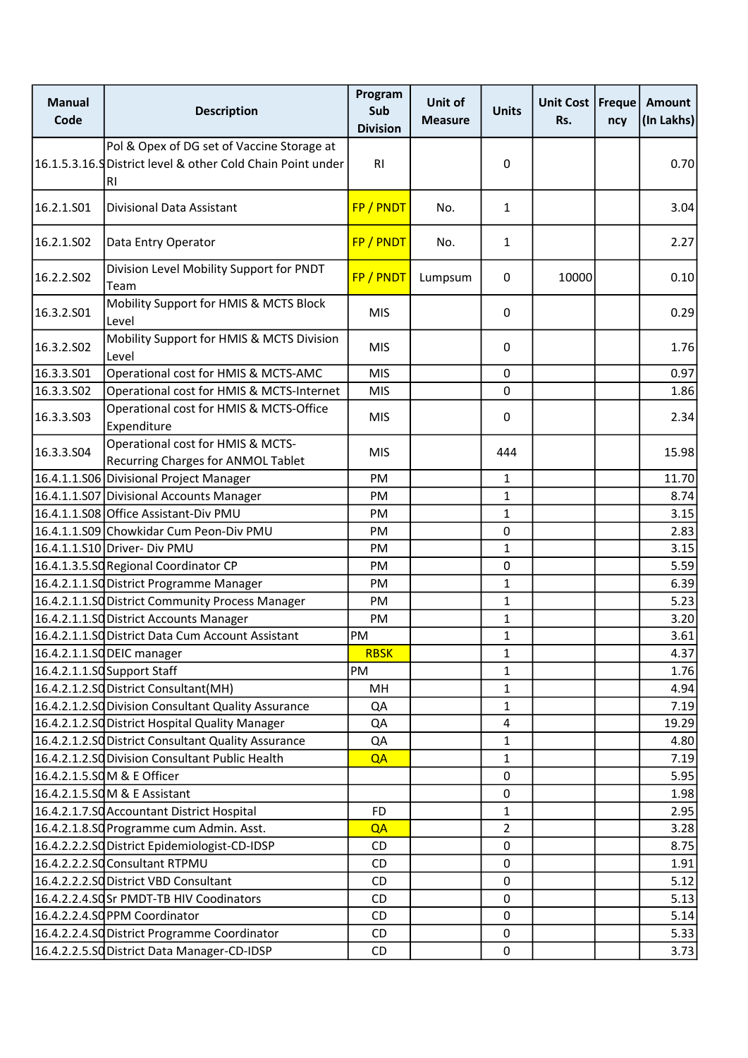| <b>Manual</b><br>Code  | <b>Description</b>                                                                                              | Program<br>Sub<br><b>Division</b> | Unit of<br><b>Measure</b> | <b>Units</b>            | Unit Cost   Freque  <br>Rs. | ncy | <b>Amount</b><br>(In Lakhs) |
|------------------------|-----------------------------------------------------------------------------------------------------------------|-----------------------------------|---------------------------|-------------------------|-----------------------------|-----|-----------------------------|
|                        | Pol & Opex of DG set of Vaccine Storage at<br>16.1.5.3.16. Spistrict level & other Cold Chain Point under<br>RI | RI                                |                           | $\pmb{0}$               |                             |     | 0.70                        |
| 16.2.1.S01             | <b>Divisional Data Assistant</b>                                                                                | FP / PNDT                         | No.                       | $\mathbf{1}$            |                             |     | 3.04                        |
| 16.2.1.SO <sub>2</sub> | Data Entry Operator                                                                                             | FP / PNDT                         | No.                       | $\mathbf{1}$            |                             |     | 2.27                        |
| 16.2.2.S02             | Division Level Mobility Support for PNDT<br>Team                                                                | FP / PNDT                         | Lumpsum                   | 0                       | 10000                       |     | 0.10                        |
| 16.3.2.S01             | Mobility Support for HMIS & MCTS Block<br>Level                                                                 | <b>MIS</b>                        |                           | 0                       |                             |     | 0.29                        |
| 16.3.2.S02             | Mobility Support for HMIS & MCTS Division<br>Level                                                              | <b>MIS</b>                        |                           | 0                       |                             |     | 1.76                        |
| 16.3.3.501             | Operational cost for HMIS & MCTS-AMC                                                                            | <b>MIS</b>                        |                           | 0                       |                             |     | 0.97                        |
| 16.3.3.502             | Operational cost for HMIS & MCTS-Internet                                                                       | <b>MIS</b>                        |                           | $\mathbf 0$             |                             |     | 1.86                        |
| 16.3.3.S03             | Operational cost for HMIS & MCTS-Office<br>Expenditure                                                          | <b>MIS</b>                        |                           | 0                       |                             |     | 2.34                        |
| 16.3.3.S04             | Operational cost for HMIS & MCTS-<br>Recurring Charges for ANMOL Tablet                                         | <b>MIS</b>                        |                           | 444                     |                             |     | 15.98                       |
|                        | 16.4.1.1.S06 Divisional Project Manager                                                                         | PM                                |                           | $\mathbf{1}$            |                             |     | 11.70                       |
|                        | 16.4.1.1.S07 Divisional Accounts Manager                                                                        | PM                                |                           | $\mathbf{1}$            |                             |     | 8.74                        |
|                        | 16.4.1.1.S08 Office Assistant-Div PMU                                                                           | <b>PM</b>                         |                           | $\mathbf{1}$            |                             |     | 3.15                        |
|                        | 16.4.1.1.S09 Chowkidar Cum Peon-Div PMU                                                                         | PM                                |                           | 0                       |                             |     | 2.83                        |
|                        | 16.4.1.1.S10 Driver- Div PMU                                                                                    | PM                                |                           | $\mathbf{1}$            |                             |     | 3.15                        |
|                        | 16.4.1.3.5.SO Regional Coordinator CP                                                                           | <b>PM</b>                         |                           | 0                       |                             |     | 5.59                        |
|                        | 16.4.2.1.1.SQ District Programme Manager                                                                        | PM                                |                           | $\mathbf{1}$            |                             |     | 6.39                        |
|                        | 16.4.2.1.1.SQ District Community Process Manager                                                                | PM                                |                           | $\mathbf{1}$            |                             |     | 5.23                        |
|                        | 16.4.2.1.1.SO District Accounts Manager                                                                         | PM                                |                           | $\mathbf{1}$            |                             |     | 3.20                        |
|                        | 16.4.2.1.1.SQ District Data Cum Account Assistant                                                               | PM                                |                           | $\mathbf{1}$            |                             |     | 3.61                        |
|                        | 16.4.2.1.1.SQDEIC manager                                                                                       | <b>RBSK</b>                       |                           | $\mathbf{1}$            |                             |     | 4.37                        |
|                        | 16.4.2.1.1.SQ Support Staff                                                                                     | PM                                |                           | $\mathbf{1}$            |                             |     | 1.76                        |
|                        | 16.4.2.1.2.SQ District Consultant(MH)                                                                           | MH                                |                           | 1                       |                             |     | 4.94                        |
|                        | 16.4.2.1.2.SQ Division Consultant Quality Assurance                                                             | QA                                |                           | $\mathbf{1}$            |                             |     | 7.19                        |
|                        | 16.4.2.1.2.SQ District Hospital Quality Manager                                                                 | QA                                |                           | $\overline{\mathbf{4}}$ |                             |     | 19.29                       |
|                        | 16.4.2.1.2.SO District Consultant Quality Assurance                                                             | QA                                |                           | $\mathbf{1}$            |                             |     | 4.80                        |
|                        | 16.4.2.1.2.SQ Division Consultant Public Health                                                                 | QA                                |                           | $\mathbf{1}$            |                             |     | 7.19                        |
|                        | 16.4.2.1.5.SQM & E Officer                                                                                      |                                   |                           | $\pmb{0}$               |                             |     | 5.95                        |
|                        | 16.4.2.1.5.SOM & E Assistant                                                                                    |                                   |                           | 0                       |                             |     | 1.98                        |
|                        | 16.4.2.1.7.SO Accountant District Hospital                                                                      | <b>FD</b>                         |                           | $\mathbf{1}$            |                             |     | 2.95                        |
|                        | 16.4.2.1.8.SO Programme cum Admin. Asst.                                                                        | QA                                |                           | $\overline{2}$          |                             |     | 3.28                        |
|                        | 16.4.2.2.2.SO District Epidemiologist-CD-IDSP                                                                   | CD                                |                           | $\pmb{0}$               |                             |     | 8.75                        |
|                        | 16.4.2.2.2.SQ Consultant RTPMU                                                                                  | CD                                |                           | 0                       |                             |     | 1.91                        |
|                        | 16.4.2.2.2.SQ District VBD Consultant                                                                           | CD                                |                           | 0                       |                             |     | 5.12                        |
|                        | 16.4.2.2.4.SOSr PMDT-TB HIV Coodinators                                                                         | CD                                |                           | 0                       |                             |     | 5.13                        |
|                        | 16.4.2.2.4.SOPPM Coordinator                                                                                    | CD                                |                           | $\mathbf 0$             |                             |     | 5.14                        |
|                        | 16.4.2.2.4.SQ District Programme Coordinator                                                                    | CD                                |                           | $\pmb{0}$               |                             |     | 5.33                        |
|                        | 16.4.2.2.5.SQ District Data Manager-CD-IDSP                                                                     | CD                                |                           | 0                       |                             |     | 3.73                        |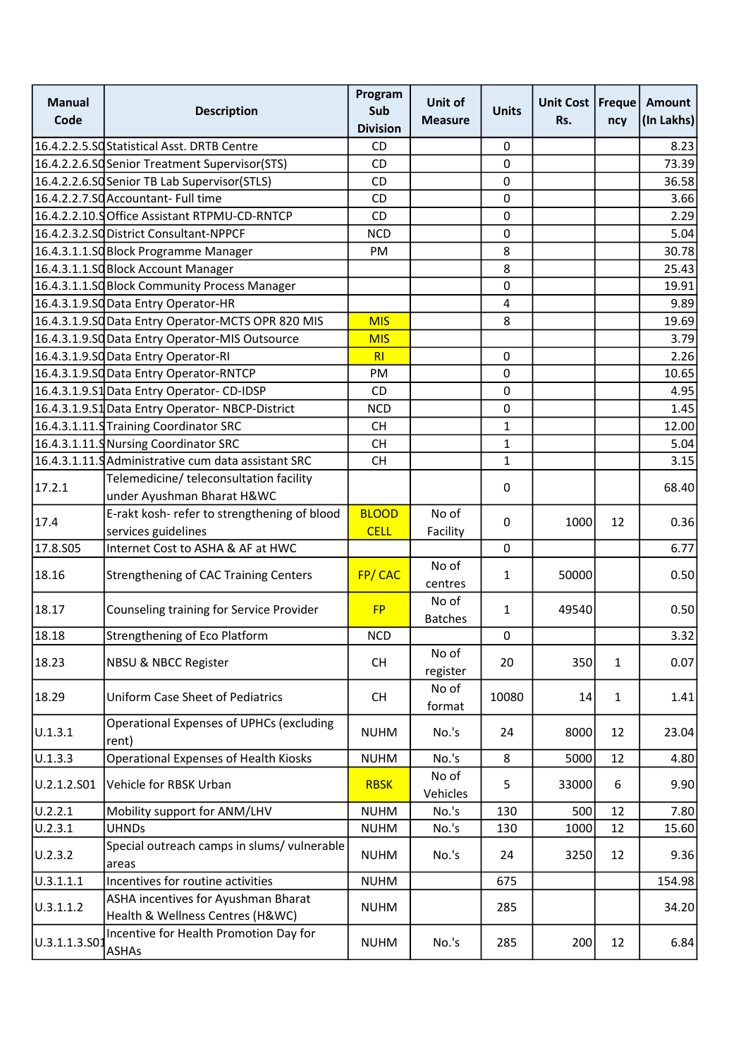| <b>Manual</b><br>Code | <b>Description</b>                                                      | Program<br>Sub<br><b>Division</b> | Unit of<br><b>Measure</b> | <b>Units</b>            | Unit Cost   Freque<br>Rs. | ncy          | Amount<br>(In Lakhs) |
|-----------------------|-------------------------------------------------------------------------|-----------------------------------|---------------------------|-------------------------|---------------------------|--------------|----------------------|
|                       | 16.4.2.2.5.SQ Statistical Asst. DRTB Centre                             | <b>CD</b>                         |                           | 0                       |                           |              | 8.23                 |
|                       | 16.4.2.2.6.SQ Senior Treatment Supervisor(STS)                          | <b>CD</b>                         |                           | 0                       |                           |              | 73.39                |
|                       | 16.4.2.2.6.SQ Senior TB Lab Supervisor(STLS)                            | <b>CD</b>                         |                           | 0                       |                           |              | 36.58                |
|                       | 16.4.2.2.7.SQAccountant-Full time                                       | CD                                |                           | 0                       |                           |              | 3.66                 |
|                       | 16.4.2.2.10.9 Office Assistant RTPMU-CD-RNTCP                           | CD                                |                           | $\mathbf 0$             |                           |              | 2.29                 |
|                       | 16.4.2.3.2.SQ District Consultant-NPPCF                                 | <b>NCD</b>                        |                           | $\mathsf{O}\xspace$     |                           |              | 5.04                 |
|                       | 16.4.3.1.1.SO Block Programme Manager                                   | PM                                |                           | 8                       |                           |              | 30.78                |
|                       | 16.4.3.1.1.SO Block Account Manager                                     |                                   |                           | 8                       |                           |              | 25.43                |
|                       | 16.4.3.1.1.SQ Block Community Process Manager                           |                                   |                           | 0                       |                           |              | 19.91                |
|                       | 16.4.3.1.9.SO Data Entry Operator-HR                                    |                                   |                           | $\overline{\mathbf{4}}$ |                           |              | 9.89                 |
|                       | 16.4.3.1.9.SQ Data Entry Operator-MCTS OPR 820 MIS                      | <b>MIS</b>                        |                           | 8                       |                           |              | 19.69                |
|                       | 16.4.3.1.9.SQ Data Entry Operator-MIS Outsource                         | <b>MIS</b>                        |                           |                         |                           |              | 3.79                 |
|                       | 16.4.3.1.9.SQ Data Entry Operator-RI                                    | RI                                |                           | 0                       |                           |              | 2.26                 |
|                       | 16.4.3.1.9.SO Data Entry Operator-RNTCP                                 | PM                                |                           | 0                       |                           |              | 10.65                |
|                       | 16.4.3.1.9.S1 Data Entry Operator- CD-IDSP                              | <b>CD</b>                         |                           | 0                       |                           |              | 4.95                 |
|                       | 16.4.3.1.9.S1 Data Entry Operator-NBCP-District                         | <b>NCD</b>                        |                           | $\mathsf{O}\xspace$     |                           |              | 1.45                 |
|                       | 16.4.3.1.11.9 Training Coordinator SRC                                  | <b>CH</b>                         |                           | $\mathbf{1}$            |                           |              | 12.00                |
|                       | 16.4.3.1.11.9 Nursing Coordinator SRC                                   | <b>CH</b>                         |                           | $\mathbf{1}$            |                           |              | 5.04                 |
|                       | 16.4.3.1.11. Administrative cum data assistant SRC                      | <b>CH</b>                         |                           | $\mathbf{1}$            |                           |              | 3.15                 |
| 17.2.1                | Telemedicine/ teleconsultation facility                                 |                                   |                           | 0                       |                           |              | 68.40                |
|                       | under Ayushman Bharat H&WC                                              |                                   |                           |                         |                           |              |                      |
| 17.4                  | E-rakt kosh- refer to strengthening of blood                            | <b>BLOOD</b>                      | No of                     | 0                       | 1000                      | 12           | 0.36                 |
| 17.8.S05              | services guidelines<br>Internet Cost to ASHA & AF at HWC                | <b>CELL</b>                       | Facility                  | $\mathbf 0$             |                           |              | 6.77                 |
|                       |                                                                         |                                   | No of                     |                         |                           |              |                      |
| 18.16                 | <b>Strengthening of CAC Training Centers</b>                            | FP/CAC                            | centres                   | $\mathbf{1}$            | 50000                     |              | 0.50                 |
| 18.17                 | Counseling training for Service Provider                                | <b>FP</b>                         | No of<br><b>Batches</b>   | $\mathbf{1}$            | 49540                     |              | 0.50                 |
| 18.18                 | Strengthening of Eco Platform                                           | <b>NCD</b>                        |                           | $\pmb{0}$               |                           |              | 3.32                 |
| 18.23                 | <b>NBSU &amp; NBCC Register</b>                                         | CH                                | No of<br>register         | 20                      | 350                       | $\mathbf{1}$ | 0.07                 |
| 18.29                 | <b>Uniform Case Sheet of Pediatrics</b>                                 | <b>CH</b>                         | No of<br>format           | 10080                   | 14                        | $\mathbf{1}$ | 1.41                 |
| U.1.3.1               | <b>Operational Expenses of UPHCs (excluding</b><br>rent)                | <b>NUHM</b>                       | No.'s                     | 24                      | 8000                      | 12           | 23.04                |
| U.1.3.3               | <b>Operational Expenses of Health Kiosks</b>                            | <b>NUHM</b>                       | No.'s                     | 8                       | 5000                      | 12           | 4.80                 |
| U.2.1.2.S01           | Vehicle for RBSK Urban                                                  | <b>RBSK</b>                       | No of<br>Vehicles         | 5                       | 33000                     | 6            | 9.90                 |
| U.2.2.1               | Mobility support for ANM/LHV                                            | <b>NUHM</b>                       | No.'s                     | 130                     | 500                       | 12           | 7.80                 |
| U.2.3.1               | <b>UHNDs</b>                                                            | <b>NUHM</b>                       | No.'s                     | 130                     | 1000                      | 12           | 15.60                |
| U.2.3.2               | Special outreach camps in slums/ vulnerable<br>areas                    | <b>NUHM</b>                       | No.'s                     | 24                      | 3250                      | 12           | 9.36                 |
| U.3.1.1.1             | Incentives for routine activities                                       | <b>NUHM</b>                       |                           | 675                     |                           |              | 154.98               |
| U.3.1.1.2             | ASHA incentives for Ayushman Bharat<br>Health & Wellness Centres (H&WC) | <b>NUHM</b>                       |                           | 285                     |                           |              | 34.20                |
| U.3.1.1.3.S01         | Incentive for Health Promotion Day for<br><b>ASHAs</b>                  | <b>NUHM</b>                       | No.'s                     | 285                     | 200                       | 12           | 6.84                 |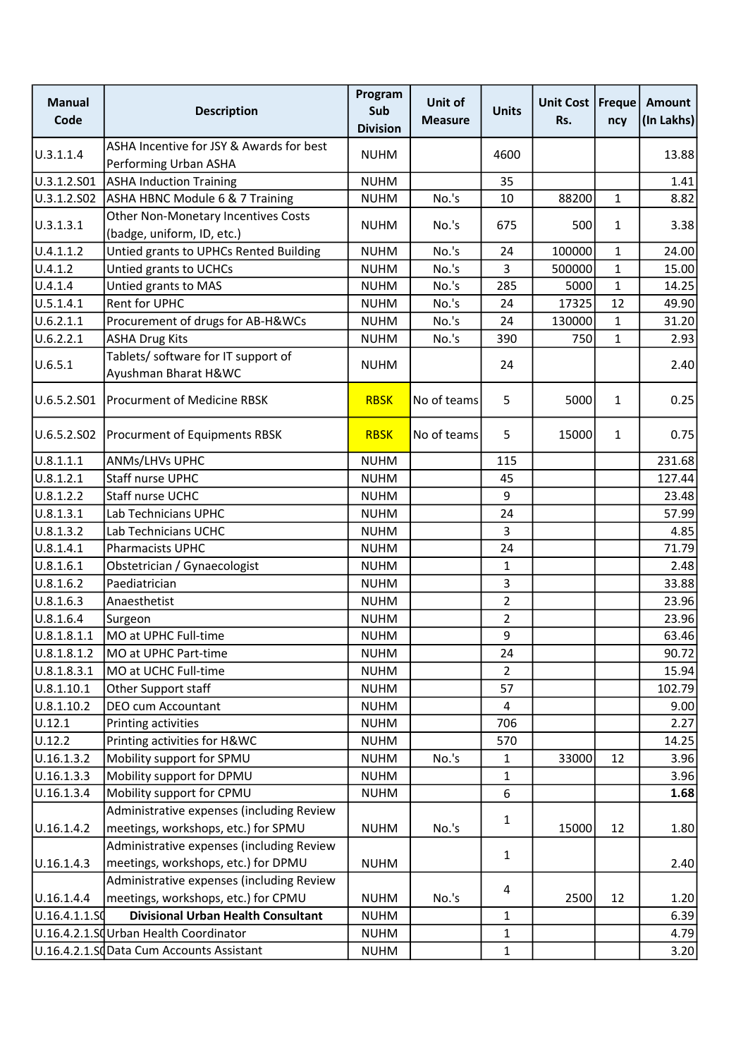| <b>Manual</b><br>Code | <b>Description</b>                                                               | Program<br>Sub<br><b>Division</b> | Unit of<br><b>Measure</b> | <b>Units</b>   | Unit Cost<br>Rs. | Freque<br>ncy | <b>Amount</b><br>(In Lakhs) |
|-----------------------|----------------------------------------------------------------------------------|-----------------------------------|---------------------------|----------------|------------------|---------------|-----------------------------|
| U.3.1.1.4             | ASHA Incentive for JSY & Awards for best<br>Performing Urban ASHA                | <b>NUHM</b>                       |                           | 4600           |                  |               | 13.88                       |
| U.3.1.2.S01           | <b>ASHA Induction Training</b>                                                   | <b>NUHM</b>                       |                           | 35             |                  |               | 1.41                        |
| U.3.1.2.S02           | ASHA HBNC Module 6 & 7 Training                                                  | <b>NUHM</b>                       | No.'s                     | 10             | 88200            | $\mathbf{1}$  | 8.82                        |
| U.3.1.3.1             | <b>Other Non-Monetary Incentives Costs</b><br>(badge, uniform, ID, etc.)         | <b>NUHM</b>                       | No.'s                     | 675            | 500              | $\mathbf{1}$  | 3.38                        |
| U.4.1.1.2             | Untied grants to UPHCs Rented Building                                           | <b>NUHM</b>                       | No.'s                     | 24             | 100000           | 1             | 24.00                       |
| U.4.1.2               | Untied grants to UCHCs                                                           | <b>NUHM</b>                       | No.'s                     | 3              | 500000           | 1             | 15.00                       |
| U.4.1.4               | Untied grants to MAS                                                             | <b>NUHM</b>                       | No.'s                     | 285            | 5000             | $\mathbf{1}$  | 14.25                       |
| U.5.1.4.1             | Rent for UPHC                                                                    | <b>NUHM</b>                       | No.'s                     | 24             | 17325            | 12            | 49.90                       |
| U.6.2.1.1             | Procurement of drugs for AB-H&WCs                                                | <b>NUHM</b>                       | No.'s                     | 24             | 130000           | $\mathbf{1}$  | 31.20                       |
| U.6.2.2.1             | <b>ASHA Drug Kits</b>                                                            | <b>NUHM</b>                       | No.'s                     | 390            | 750              | $\mathbf{1}$  | 2.93                        |
| U.6.5.1               | Tablets/ software for IT support of                                              | <b>NUHM</b>                       |                           | 24             |                  |               | 2.40                        |
|                       | Ayushman Bharat H&WC                                                             |                                   |                           |                |                  |               |                             |
| U.6.5.2.S01           | <b>Procurment of Medicine RBSK</b>                                               | <b>RBSK</b>                       | No of teams               | 5              | 5000             | $\mathbf{1}$  | 0.25                        |
| U.6.5.2.S02           | Procurment of Equipments RBSK                                                    | <b>RBSK</b>                       | No of teams               | 5              | 15000            | $\mathbf{1}$  | 0.75                        |
| U.8.1.1.1             | ANMs/LHVs UPHC                                                                   | <b>NUHM</b>                       |                           | 115            |                  |               | 231.68                      |
| U.8.1.2.1             | <b>Staff nurse UPHC</b>                                                          | <b>NUHM</b>                       |                           | 45             |                  |               | 127.44                      |
| U.8.1.2.2             | Staff nurse UCHC                                                                 | <b>NUHM</b>                       |                           | 9              |                  |               | 23.48                       |
| U.8.1.3.1             | Lab Technicians UPHC                                                             | <b>NUHM</b>                       |                           | 24             |                  |               | 57.99                       |
| U.8.1.3.2             | Lab Technicians UCHC                                                             | <b>NUHM</b>                       |                           | 3              |                  |               | 4.85                        |
| U.8.1.4.1             | Pharmacists UPHC                                                                 | <b>NUHM</b>                       |                           | 24             |                  |               | 71.79                       |
| U.8.1.6.1             | Obstetrician / Gynaecologist                                                     | <b>NUHM</b>                       |                           | $\mathbf{1}$   |                  |               | 2.48                        |
| U.8.1.6.2             | Paediatrician                                                                    | <b>NUHM</b>                       |                           | 3              |                  |               | 33.88                       |
| U.8.1.6.3             | Anaesthetist                                                                     | <b>NUHM</b>                       |                           | $\overline{2}$ |                  |               | 23.96                       |
| U.8.1.6.4             | Surgeon                                                                          | <b>NUHM</b>                       |                           | $\overline{2}$ |                  |               | 23.96                       |
| U.8.1.8.1.1           | MO at UPHC Full-time                                                             | <b>NUHM</b>                       |                           | 9              |                  |               | 63.46                       |
| U.8.1.8.1.2           | MO at UPHC Part-time                                                             | <b>NUHM</b>                       |                           | 24             |                  |               | 90.72                       |
| U.8.1.8.3.1           | MO at UCHC Full-time                                                             | <b>NUHM</b>                       |                           | $\overline{2}$ |                  |               | 15.94                       |
| U.8.1.10.1            | Other Support staff                                                              | <b>NUHM</b>                       |                           | 57             |                  |               | 102.79                      |
| U.8.1.10.2            | DEO cum Accountant                                                               | <b>NUHM</b>                       |                           | $\overline{4}$ |                  |               | 9.00                        |
| U.12.1                | Printing activities                                                              | <b>NUHM</b>                       |                           | 706            |                  |               | 2.27                        |
| U.12.2                | Printing activities for H&WC                                                     | <b>NUHM</b>                       |                           | 570            |                  |               | 14.25                       |
| U.16.1.3.2            | Mobility support for SPMU                                                        | <b>NUHM</b>                       | No.'s                     | $\mathbf{1}$   | 33000            | 12            | 3.96                        |
| U.16.1.3.3            | Mobility support for DPMU                                                        | <b>NUHM</b>                       |                           | $\mathbf{1}$   |                  |               | 3.96                        |
| U.16.1.3.4            | Mobility support for CPMU                                                        | <b>NUHM</b>                       |                           | 6              |                  |               | 1.68                        |
|                       | Administrative expenses (including Review                                        |                                   |                           | $\mathbf{1}$   |                  |               |                             |
| U.16.1.4.2            | meetings, workshops, etc.) for SPMU                                              | <b>NUHM</b>                       | No.'s                     |                | 15000            | 12            | 1.80                        |
| U.16.1.4.3            | Administrative expenses (including Review<br>meetings, workshops, etc.) for DPMU | <b>NUHM</b>                       |                           | $\mathbf{1}$   |                  |               | 2.40                        |
|                       | Administrative expenses (including Review                                        |                                   |                           |                |                  |               |                             |
| U.16.1.4.4            | meetings, workshops, etc.) for CPMU                                              | <b>NUHM</b>                       | No.'s                     | 4              | 2500             | 12            | 1.20                        |
| U.16.4.1.1.S          | <b>Divisional Urban Health Consultant</b>                                        | <b>NUHM</b>                       |                           | $\mathbf{1}$   |                  |               | 6.39                        |
|                       | U.16.4.2.1.SQUrban Health Coordinator                                            | <b>NUHM</b>                       |                           | $\mathbf{1}$   |                  |               | 4.79                        |
|                       | U.16.4.2.1.SCData Cum Accounts Assistant                                         | <b>NUHM</b>                       |                           | $\mathbf{1}$   |                  |               | 3.20                        |